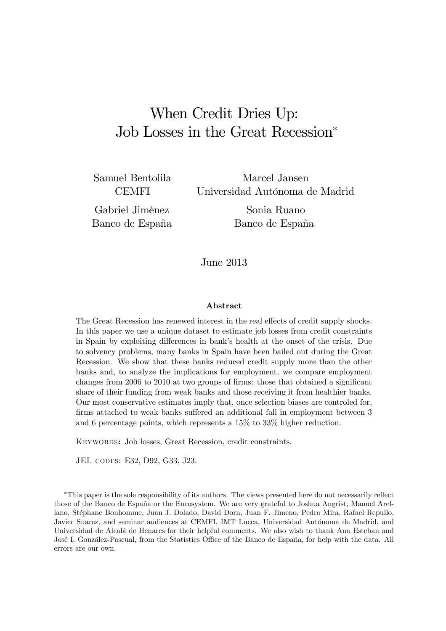# When Credit Dries Up: Job Losses in the Great Recession<sup>∗</sup>

Samuel Bentolila **CEMFI** 

Gabriel Jiménez Banco de España

Marcel Jansen Universidad Autónoma de Madrid

> Sonia Ruano Banco de España

June 2013

#### Abstract

The Great Recession has renewed interest in the real effects of credit supply shocks. In this paper we use a unique dataset to estimate job losses from credit constraints in Spain by exploiting differences in bank's health at the onset of the crisis. Due to solvency problems, many banks in Spain have been bailed out during the Great Recession. We show that these banks reduced credit supply more than the other banks and, to analyze the implications for employment, we compare employment changes from 2006 to 2010 at two groups of firms: those that obtained a significant share of their funding from weak banks and those receiving it from healthier banks. Our most conservative estimates imply that, once selection biases are controled for, firms attached to weak banks suffered an additional fall in employment between 3 and 6 percentage points, which represents a 15% to 33% higher reduction.

Keywords: Job losses, Great Recession, credit constraints.

JEL codes: E32, D92, G33, J23.

<sup>∗</sup>This paper is the sole responsibility of its authors. The views presented here do not necessarily reflect those of the Banco de España or the Eurosystem. We are very grateful to Joshua Angrist, Manuel Arellano, Stéphane Bonhomme, Juan J. Dolado, David Dorn, Juan F. Jimeno, Pedro Mira, Rafael Repullo, Javier Suarez, and seminar audiences at CEMFI, IMT Lucca, Universidad Autónoma de Madrid, and Universidad de Alcalá de Henares for their helpful comments. We also wish to thank Ana Esteban and José I. González-Pascual, from the Statistics Office of the Banco de España, for help with the data. All errors are our own.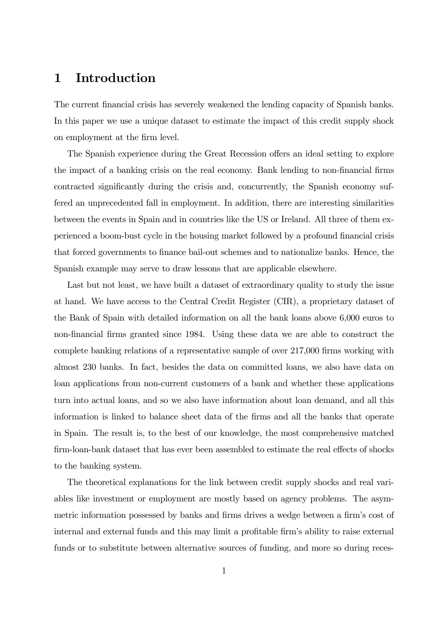### 1 Introduction

The current financial crisis has severely weakened the lending capacity of Spanish banks. In this paper we use a unique dataset to estimate the impact of this credit supply shock on employment at the firm level.

The Spanish experience during the Great Recession offers an ideal setting to explore the impact of a banking crisis on the real economy. Bank lending to non-financial firms contracted significantly during the crisis and, concurrently, the Spanish economy suffered an unprecedented fall in employment. In addition, there are interesting similarities between the events in Spain and in countries like the US or Ireland. All three of them experienced a boom-bust cycle in the housing market followed by a profound financial crisis that forced governments to finance bail-out schemes and to nationalize banks. Hence, the Spanish example may serve to draw lessons that are applicable elsewhere.

Last but not least, we have built a dataset of extraordinary quality to study the issue at hand. We have access to the Central Credit Register (CIR), a proprietary dataset of the Bank of Spain with detailed information on all the bank loans above 6,000 euros to non-financial firms granted since 1984. Using these data we are able to construct the complete banking relations of a representative sample of over 217,000 firms working with almost 230 banks. In fact, besides the data on committed loans, we also have data on loan applications from non-current customers of a bank and whether these applications turn into actual loans, and so we also have information about loan demand, and all this information is linked to balance sheet data of the firms and all the banks that operate in Spain. The result is, to the best of our knowledge, the most comprehensive matched firm-loan-bank dataset that has ever been assembled to estimate the real effects of shocks to the banking system.

The theoretical explanations for the link between credit supply shocks and real variables like investment or employment are mostly based on agency problems. The asymmetric information possessed by banks and firms drives a wedge between a firm's cost of internal and external funds and this may limit a profitable firm's ability to raise external funds or to substitute between alternative sources of funding, and more so during reces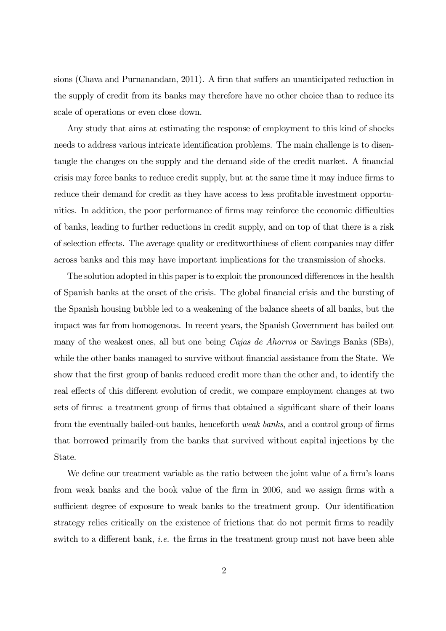sions (Chava and Purnanandam, 2011). A firm that suffers an unanticipated reduction in the supply of credit from its banks may therefore have no other choice than to reduce its scale of operations or even close down.

Any study that aims at estimating the response of employment to this kind of shocks needs to address various intricate identification problems. The main challenge is to disentangle the changes on the supply and the demand side of the credit market. A financial crisis may force banks to reduce credit supply, but at the same time it may induce firms to reduce their demand for credit as they have access to less profitable investment opportunities. In addition, the poor performance of firms may reinforce the economic difficulties of banks, leading to further reductions in credit supply, and on top of that there is a risk of selection effects. The average quality or creditworthiness of client companies may differ across banks and this may have important implications for the transmission of shocks.

The solution adopted in this paper is to exploit the pronounced differences in the health of Spanish banks at the onset of the crisis. The global financial crisis and the bursting of the Spanish housing bubble led to a weakening of the balance sheets of all banks, but the impact was far from homogenous. In recent years, the Spanish Government has bailed out many of the weakest ones, all but one being Cajas de Ahorros or Savings Banks (SBs), while the other banks managed to survive without financial assistance from the State. We show that the first group of banks reduced credit more than the other and, to identify the real effects of this different evolution of credit, we compare employment changes at two sets of firms: a treatment group of firms that obtained a significant share of their loans from the eventually bailed-out banks, henceforth weak banks, and a control group of firms that borrowed primarily from the banks that survived without capital injections by the State.

We define our treatment variable as the ratio between the joint value of a firm's loans from weak banks and the book value of the firm in 2006, and we assign firms with a sufficient degree of exposure to weak banks to the treatment group. Our identification strategy relies critically on the existence of frictions that do not permit firms to readily switch to a different bank, *i.e.* the firms in the treatment group must not have been able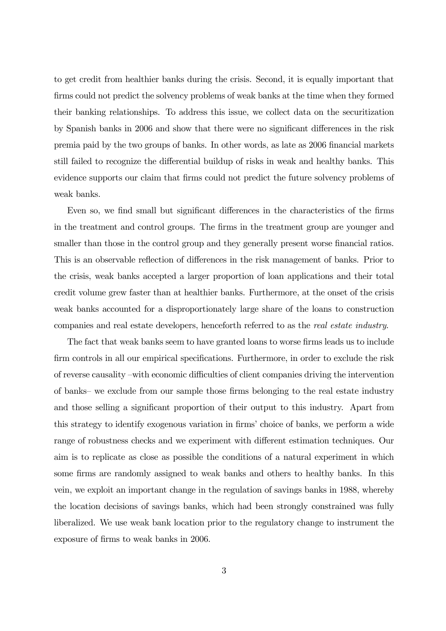to get credit from healthier banks during the crisis. Second, it is equally important that firms could not predict the solvency problems of weak banks at the time when they formed their banking relationships. To address this issue, we collect data on the securitization by Spanish banks in 2006 and show that there were no significant differences in the risk premia paid by the two groups of banks. In other words, as late as 2006 financial markets still failed to recognize the differential buildup of risks in weak and healthy banks. This evidence supports our claim that firms could not predict the future solvency problems of weak banks.

Even so, we find small but significant differences in the characteristics of the firms in the treatment and control groups. The firms in the treatment group are younger and smaller than those in the control group and they generally present worse financial ratios. This is an observable reflection of differences in the risk management of banks. Prior to the crisis, weak banks accepted a larger proportion of loan applications and their total credit volume grew faster than at healthier banks. Furthermore, at the onset of the crisis weak banks accounted for a disproportionately large share of the loans to construction companies and real estate developers, henceforth referred to as the real estate industry.

The fact that weak banks seem to have granted loans to worse firms leads us to include firm controls in all our empirical specifications. Furthermore, in order to exclude the risk of reverse causality —with economic difficulties of client companies driving the intervention of banks— we exclude from our sample those firms belonging to the real estate industry and those selling a significant proportion of their output to this industry. Apart from this strategy to identify exogenous variation in firms' choice of banks, we perform a wide range of robustness checks and we experiment with different estimation techniques. Our aim is to replicate as close as possible the conditions of a natural experiment in which some firms are randomly assigned to weak banks and others to healthy banks. In this vein, we exploit an important change in the regulation of savings banks in 1988, whereby the location decisions of savings banks, which had been strongly constrained was fully liberalized. We use weak bank location prior to the regulatory change to instrument the exposure of firms to weak banks in 2006.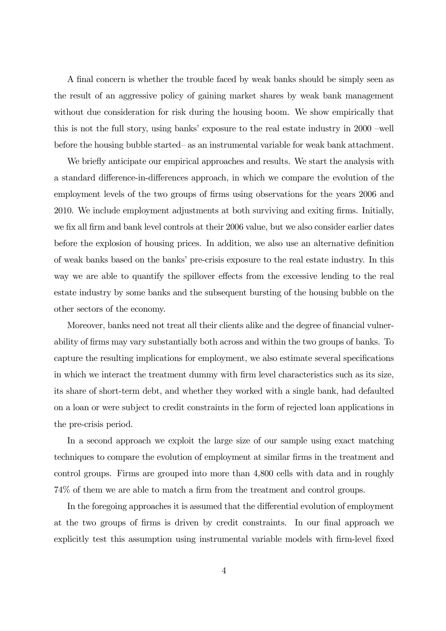A final concern is whether the trouble faced by weak banks should be simply seen as the result of an aggressive policy of gaining market shares by weak bank management without due consideration for risk during the housing boom. We show empirically that this is not the full story, using banks' exposure to the real estate industry in 2000 —well before the housing bubble started— as an instrumental variable for weak bank attachment.

We briefly anticipate our empirical approaches and results. We start the analysis with a standard difference-in-differences approach, in which we compare the evolution of the employment levels of the two groups of firms using observations for the years 2006 and 2010. We include employment adjustments at both surviving and exiting firms. Initially, we fix all firm and bank level controls at their 2006 value, but we also consider earlier dates before the explosion of housing prices. In addition, we also use an alternative definition of weak banks based on the banks' pre-crisis exposure to the real estate industry. In this way we are able to quantify the spillover effects from the excessive lending to the real estate industry by some banks and the subsequent bursting of the housing bubble on the other sectors of the economy.

Moreover, banks need not treat all their clients alike and the degree of financial vulnerability of firms may vary substantially both across and within the two groups of banks. To capture the resulting implications for employment, we also estimate several specifications in which we interact the treatment dummy with firm level characteristics such as its size, its share of short-term debt, and whether they worked with a single bank, had defaulted on a loan or were subject to credit constraints in the form of rejected loan applications in the pre-crisis period.

In a second approach we exploit the large size of our sample using exact matching techniques to compare the evolution of employment at similar firms in the treatment and control groups. Firms are grouped into more than 4,800 cells with data and in roughly 74% of them we are able to match a firm from the treatment and control groups.

In the foregoing approaches it is assumed that the differential evolution of employment at the two groups of firms is driven by credit constraints. In our final approach we explicitly test this assumption using instrumental variable models with firm-level fixed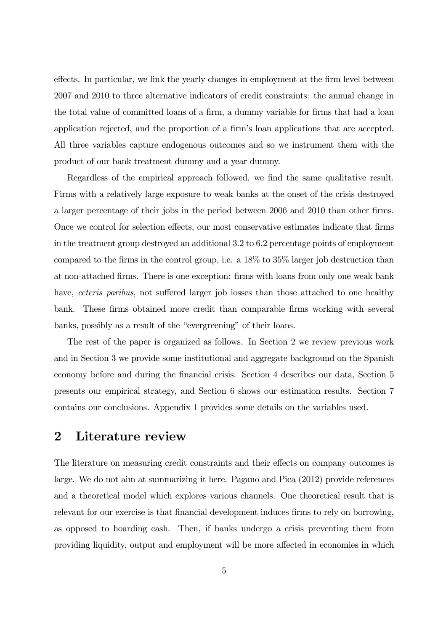effects. In particular, we link the yearly changes in employment at the firm level between 2007 and 2010 to three alternative indicators of credit constraints: the annual change in the total value of committed loans of a firm, a dummy variable for firms that had a loan application rejected, and the proportion of a firm's loan applications that are accepted. All three variables capture endogenous outcomes and so we instrument them with the product of our bank treatment dummy and a year dummy.

Regardless of the empirical approach followed, we find the same qualitative result. Firms with a relatively large exposure to weak banks at the onset of the crisis destroyed a larger percentage of their jobs in the period between 2006 and 2010 than other firms. Once we control for selection effects, our most conservative estimates indicate that firms in the treatment group destroyed an additional 3.2 to 6.2 percentage points of employment compared to the firms in the control group, i.e. a 18% to 35% larger job destruction than at non-attached firms. There is one exception: firms with loans from only one weak bank have, *ceteris paribus*, not suffered larger job losses than those attached to one healthy bank. These firms obtained more credit than comparable firms working with several banks, possibly as a result of the "evergreening" of their loans.

The rest of the paper is organized as follows. In Section 2 we review previous work and in Section 3 we provide some institutional and aggregate background on the Spanish economy before and during the financial crisis. Section 4 describes our data, Section 5 presents our empirical strategy, and Section 6 shows our estimation results. Section 7 contains our conclusions. Appendix 1 provides some details on the variables used.

### 2 Literature review

The literature on measuring credit constraints and their effects on company outcomes is large. We do not aim at summarizing it here. Pagano and Pica (2012) provide references and a theoretical model which explores various channels. One theoretical result that is relevant for our exercise is that financial development induces firms to rely on borrowing, as opposed to hoarding cash. Then, if banks undergo a crisis preventing them from providing liquidity, output and employment will be more affected in economies in which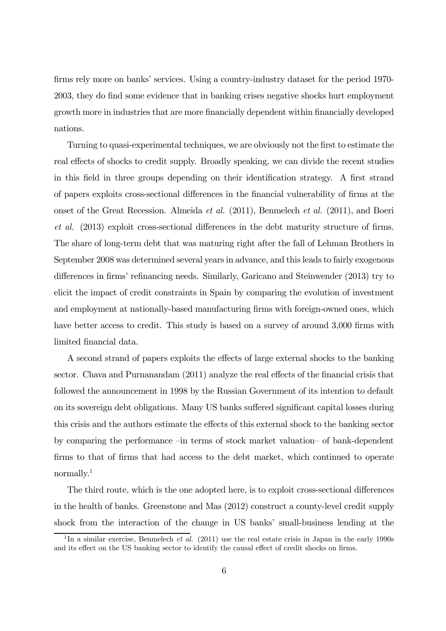firms rely more on banks' services. Using a country-industry dataset for the period 1970- 2003, they do find some evidence that in banking crises negative shocks hurt employment growth more in industries that are more financially dependent within financially developed nations.

Turning to quasi-experimental techniques, we are obviously not the first to estimate the real effects of shocks to credit supply. Broadly speaking, we can divide the recent studies in this field in three groups depending on their identification strategy. A first strand of papers exploits cross-sectional differences in the financial vulnerability of firms at the onset of the Great Recession. Almeida et al. (2011), Benmelech et al. (2011), and Boeri et al. (2013) exploit cross-sectional differences in the debt maturity structure of firms. The share of long-term debt that was maturing right after the fall of Lehman Brothers in September 2008 was determined several years in advance, and this leads to fairly exogenous differences in firms' refinancing needs. Similarly, Garicano and Steinwender (2013) try to elicit the impact of credit constraints in Spain by comparing the evolution of investment and employment at nationally-based manufacturing firms with foreign-owned ones, which have better access to credit. This study is based on a survey of around 3,000 firms with limited financial data.

A second strand of papers exploits the effects of large external shocks to the banking sector. Chava and Purnanandam (2011) analyze the real effects of the financial crisis that followed the announcement in 1998 by the Russian Government of its intention to default on its sovereign debt obligations. Many US banks suffered significant capital losses during this crisis and the authors estimate the effects of this external shock to the banking sector by comparing the performance —in terms of stock market valuation— of bank-dependent firms to that of firms that had access to the debt market, which continued to operate normally.1

The third route, which is the one adopted here, is to exploit cross-sectional differences in the health of banks. Greenstone and Mas (2012) construct a county-level credit supply shock from the interaction of the change in US banks' small-business lending at the

<sup>&</sup>lt;sup>1</sup>In a similar exercise, Benmelech *et al.* (2011) use the real estate crisis in Japan in the early 1990s and its effect on the US banking sector to identify the causal effect of credit shocks on firms.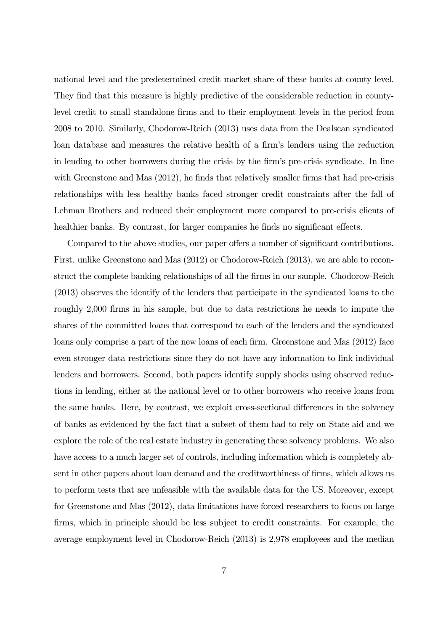national level and the predetermined credit market share of these banks at county level. They find that this measure is highly predictive of the considerable reduction in countylevel credit to small standalone firms and to their employment levels in the period from 2008 to 2010. Similarly, Chodorow-Reich (2013) uses data from the Dealscan syndicated loan database and measures the relative health of a firm's lenders using the reduction in lending to other borrowers during the crisis by the firm's pre-crisis syndicate. In line with Greenstone and Mas (2012), he finds that relatively smaller firms that had pre-crisis relationships with less healthy banks faced stronger credit constraints after the fall of Lehman Brothers and reduced their employment more compared to pre-crisis clients of healthier banks. By contrast, for larger companies he finds no significant effects.

Compared to the above studies, our paper offers a number of significant contributions. First, unlike Greenstone and Mas (2012) or Chodorow-Reich (2013), we are able to reconstruct the complete banking relationships of all the firms in our sample. Chodorow-Reich (2013) observes the identify of the lenders that participate in the syndicated loans to the roughly 2,000 firms in his sample, but due to data restrictions he needs to impute the shares of the committed loans that correspond to each of the lenders and the syndicated loans only comprise a part of the new loans of each firm. Greenstone and Mas (2012) face even stronger data restrictions since they do not have any information to link individual lenders and borrowers. Second, both papers identify supply shocks using observed reductions in lending, either at the national level or to other borrowers who receive loans from the same banks. Here, by contrast, we exploit cross-sectional differences in the solvency of banks as evidenced by the fact that a subset of them had to rely on State aid and we explore the role of the real estate industry in generating these solvency problems. We also have access to a much larger set of controls, including information which is completely absent in other papers about loan demand and the creditworthiness of firms, which allows us to perform tests that are unfeasible with the available data for the US. Moreover, except for Greenstone and Mas (2012), data limitations have forced researchers to focus on large firms, which in principle should be less subject to credit constraints. For example, the average employment level in Chodorow-Reich (2013) is 2,978 employees and the median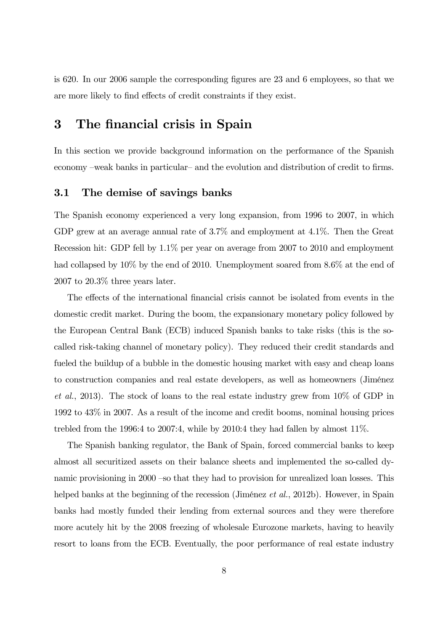is 620. In our 2006 sample the corresponding figures are 23 and 6 employees, so that we are more likely to find effects of credit constraints if they exist.

### 3 The financial crisis in Spain

In this section we provide background information on the performance of the Spanish economy —weak banks in particular— and the evolution and distribution of credit to firms.

#### 3.1 The demise of savings banks

The Spanish economy experienced a very long expansion, from 1996 to 2007, in which GDP grew at an average annual rate of 3.7% and employment at 4.1%. Then the Great Recession hit: GDP fell by 1.1% per year on average from 2007 to 2010 and employment had collapsed by  $10\%$  by the end of 2010. Unemployment soared from 8.6% at the end of 2007 to 20.3% three years later.

The effects of the international financial crisis cannot be isolated from events in the domestic credit market. During the boom, the expansionary monetary policy followed by the European Central Bank (ECB) induced Spanish banks to take risks (this is the socalled risk-taking channel of monetary policy). They reduced their credit standards and fueled the buildup of a bubble in the domestic housing market with easy and cheap loans to construction companies and real estate developers, as well as homeowners (Jiménez et al., 2013). The stock of loans to the real estate industry grew from 10% of GDP in 1992 to 43% in 2007. As a result of the income and credit booms, nominal housing prices trebled from the 1996:4 to 2007:4, while by 2010:4 they had fallen by almost 11%.

The Spanish banking regulator, the Bank of Spain, forced commercial banks to keep almost all securitized assets on their balance sheets and implemented the so-called dynamic provisioning in 2000 —so that they had to provision for unrealized loan losses. This helped banks at the beginning of the recession (Jiménez et al., 2012b). However, in Spain banks had mostly funded their lending from external sources and they were therefore more acutely hit by the 2008 freezing of wholesale Eurozone markets, having to heavily resort to loans from the ECB. Eventually, the poor performance of real estate industry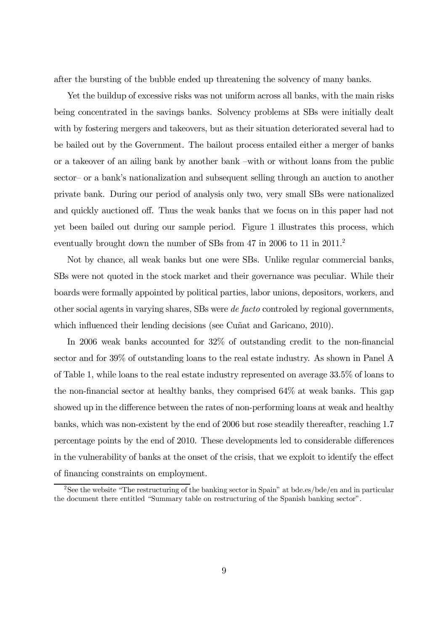after the bursting of the bubble ended up threatening the solvency of many banks.

Yet the buildup of excessive risks was not uniform across all banks, with the main risks being concentrated in the savings banks. Solvency problems at SBs were initially dealt with by fostering mergers and takeovers, but as their situation deteriorated several had to be bailed out by the Government. The bailout process entailed either a merger of banks or a takeover of an ailing bank by another bank —with or without loans from the public sector— or a bank's nationalization and subsequent selling through an auction to another private bank. During our period of analysis only two, very small SBs were nationalized and quickly auctioned off. Thus the weak banks that we focus on in this paper had not yet been bailed out during our sample period. Figure 1 illustrates this process, which eventually brought down the number of SBs from 47 in 2006 to 11 in 2011.<sup>2</sup>

Not by chance, all weak banks but one were SBs. Unlike regular commercial banks, SBs were not quoted in the stock market and their governance was peculiar. While their boards were formally appointed by political parties, labor unions, depositors, workers, and other social agents in varying shares, SBs were de facto controled by regional governments, which influenced their lending decisions (see Cuñat and Garicano, 2010).

In 2006 weak banks accounted for 32% of outstanding credit to the non-financial sector and for 39% of outstanding loans to the real estate industry. As shown in Panel A of Table 1, while loans to the real estate industry represented on average 33.5% of loans to the non-financial sector at healthy banks, they comprised 64% at weak banks. This gap showed up in the difference between the rates of non-performing loans at weak and healthy banks, which was non-existent by the end of 2006 but rose steadily thereafter, reaching 1.7 percentage points by the end of 2010. These developments led to considerable differences in the vulnerability of banks at the onset of the crisis, that we exploit to identify the effect of financing constraints on employment.

<sup>2</sup>See the website "The restructuring of the banking sector in Spain" at bde.es/bde/en and in particular the document there entitled "Summary table on restructuring of the Spanish banking sector".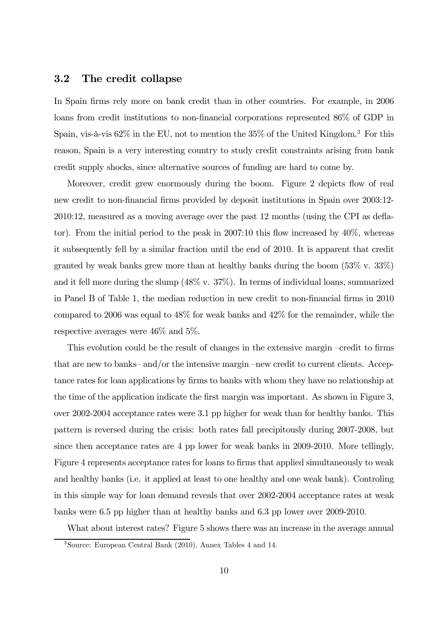#### 3.2 The credit collapse

In Spain firms rely more on bank credit than in other countries. For example, in 2006 loans from credit institutions to non-financial corporations represented 86% of GDP in Spain, vis-à-vis  $62\%$  in the EU, not to mention the  $35\%$  of the United Kingdom.<sup>3</sup> For this reason, Spain is a very interesting country to study credit constraints arising from bank credit supply shocks, since alternative sources of funding are hard to come by.

Moreover, credit grew enormously during the boom. Figure 2 depicts flow of real new credit to non-financial firms provided by deposit institutions in Spain over 2003:12- 2010:12, measured as a moving average over the past 12 months (using the CPI as deflator). From the initial period to the peak in 2007:10 this flow increased by 40%, whereas it subsequently fell by a similar fraction until the end of 2010. It is apparent that credit granted by weak banks grew more than at healthy banks during the boom (53% v. 33%) and it fell more during the slump (48% v. 37%). In terms of individual loans, summarized in Panel B of Table 1, the median reduction in new credit to non-financial firms in 2010 compared to 2006 was equal to 48% for weak banks and 42% for the remainder, while the respective averages were 46% and 5%.

This evolution could be the result of changes in the extensive margin —credit to firms that are new to banks— and/or the intensive margin —new credit to current clients. Acceptance rates for loan applications by firms to banks with whom they have no relationship at the time of the application indicate the first margin was important. As shown in Figure 3, over 2002-2004 acceptance rates were 3.1 pp higher for weak than for healthy banks. This pattern is reversed during the crisis: both rates fall precipitously during 2007-2008, but since then acceptance rates are 4 pp lower for weak banks in 2009-2010. More tellingly, Figure 4 represents acceptance rates for loans to firms that applied simultaneously to weak and healthy banks (i.e. it applied at least to one healthy and one weak bank). Controling in this simple way for loan demand reveals that over 2002-2004 acceptance rates at weak banks were 6.5 pp higher than at healthy banks and 6.3 pp lower over 2009-2010.

What about interest rates? Figure 5 shows there was an increase in the average annual

<sup>3</sup>Source: European Central Bank (2010), Annex Tables 4 and 14.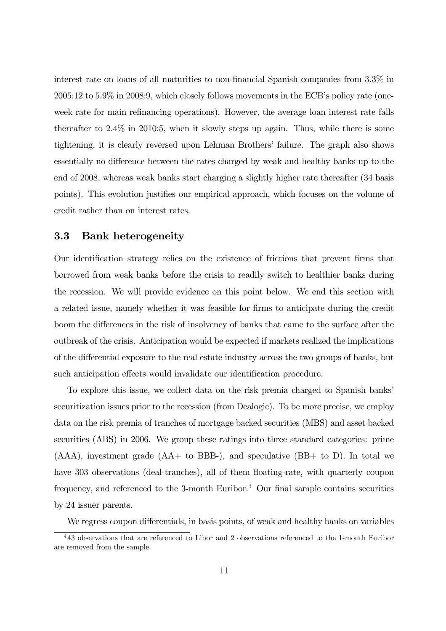interest rate on loans of all maturities to non-financial Spanish companies from 3.3% in 2005:12 to 5.9% in 2008:9, which closely follows movements in the ECB's policy rate (oneweek rate for main refinancing operations). However, the average loan interest rate falls thereafter to 2.4% in 2010:5, when it slowly steps up again. Thus, while there is some tightening, it is clearly reversed upon Lehman Brothers' failure. The graph also shows essentially no difference between the rates charged by weak and healthy banks up to the end of 2008, whereas weak banks start charging a slightly higher rate thereafter (34 basis points). This evolution justifies our empirical approach, which focuses on the volume of credit rather than on interest rates.

#### 3.3 Bank heterogeneity

Our identification strategy relies on the existence of frictions that prevent firms that borrowed from weak banks before the crisis to readily switch to healthier banks during the recession. We will provide evidence on this point below. We end this section with a related issue, namely whether it was feasible for firms to anticipate during the credit boom the differences in the risk of insolvency of banks that came to the surface after the outbreak of the crisis. Anticipation would be expected if markets realized the implications of the differential exposure to the real estate industry across the two groups of banks, but such anticipation effects would invalidate our identification procedure.

To explore this issue, we collect data on the risk premia charged to Spanish banks' securitization issues prior to the recession (from Dealogic). To be more precise, we employ data on the risk premia of tranches of mortgage backed securities (MBS) and asset backed securities (ABS) in 2006. We group these ratings into three standard categories: prime  $(AAA)$ , investment grade  $(AA+$  to BBB-), and speculative  $(BB+$  to D). In total we have 303 observations (deal-tranches), all of them floating-rate, with quarterly coupon frequency, and referenced to the 3-month Euribor.<sup>4</sup> Our final sample contains securities by 24 issuer parents.

We regress coupon differentials, in basis points, of weak and healthy banks on variables

<sup>4</sup> 43 observations that are referenced to Libor and 2 observations referenced to the 1-month Euribor are removed from the sample.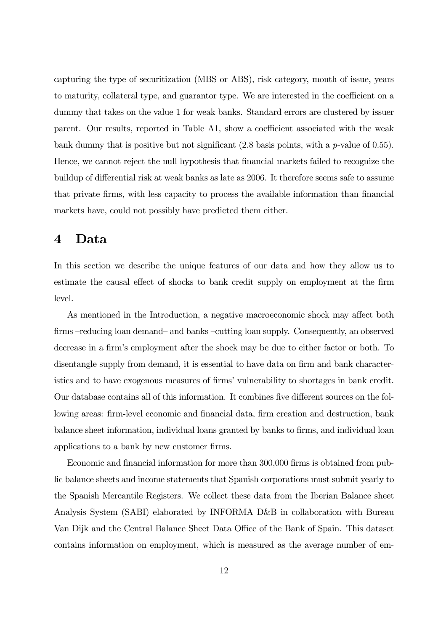capturing the type of securitization (MBS or ABS), risk category, month of issue, years to maturity, collateral type, and guarantor type. We are interested in the coefficient on a dummy that takes on the value 1 for weak banks. Standard errors are clustered by issuer parent. Our results, reported in Table A1, show a coefficient associated with the weak bank dummy that is positive but not significant (2.8 basis points, with a p-value of 0.55). Hence, we cannot reject the null hypothesis that financial markets failed to recognize the buildup of differential risk at weak banks as late as 2006. It therefore seems safe to assume that private firms, with less capacity to process the available information than financial markets have, could not possibly have predicted them either.

#### 4 Data

In this section we describe the unique features of our data and how they allow us to estimate the causal effect of shocks to bank credit supply on employment at the firm level.

As mentioned in the Introduction, a negative macroeconomic shock may affect both firms —reducing loan demand— and banks —cutting loan supply. Consequently, an observed decrease in a firm's employment after the shock may be due to either factor or both. To disentangle supply from demand, it is essential to have data on firm and bank characteristics and to have exogenous measures of firms' vulnerability to shortages in bank credit. Our database contains all of this information. It combines five different sources on the following areas: firm-level economic and financial data, firm creation and destruction, bank balance sheet information, individual loans granted by banks to firms, and individual loan applications to a bank by new customer firms.

Economic and financial information for more than 300,000 firms is obtained from public balance sheets and income statements that Spanish corporations must submit yearly to the Spanish Mercantile Registers. We collect these data from the Iberian Balance sheet Analysis System (SABI) elaborated by INFORMA D&B in collaboration with Bureau Van Dijk and the Central Balance Sheet Data Office of the Bank of Spain. This dataset contains information on employment, which is measured as the average number of em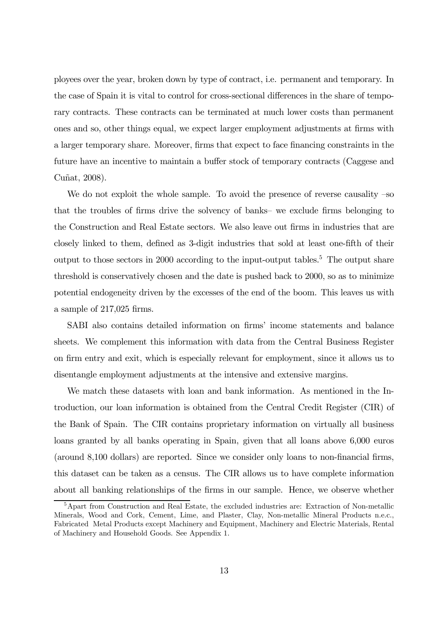ployees over the year, broken down by type of contract, i.e. permanent and temporary. In the case of Spain it is vital to control for cross-sectional differences in the share of temporary contracts. These contracts can be terminated at much lower costs than permanent ones and so, other things equal, we expect larger employment adjustments at firms with a larger temporary share. Moreover, firms that expect to face financing constraints in the future have an incentive to maintain a buffer stock of temporary contracts (Caggese and Cuñat, 2008).

We do not exploit the whole sample. To avoid the presence of reverse causality  $-\infty$ that the troubles of firms drive the solvency of banks— we exclude firms belonging to the Construction and Real Estate sectors. We also leave out firms in industries that are closely linked to them, defined as 3-digit industries that sold at least one-fifth of their output to those sectors in 2000 according to the input-output tables.<sup>5</sup> The output share threshold is conservatively chosen and the date is pushed back to 2000, so as to minimize potential endogeneity driven by the excesses of the end of the boom. This leaves us with a sample of 217,025 firms.

SABI also contains detailed information on firms' income statements and balance sheets. We complement this information with data from the Central Business Register on firm entry and exit, which is especially relevant for employment, since it allows us to disentangle employment adjustments at the intensive and extensive margins.

We match these datasets with loan and bank information. As mentioned in the Introduction, our loan information is obtained from the Central Credit Register (CIR) of the Bank of Spain. The CIR contains proprietary information on virtually all business loans granted by all banks operating in Spain, given that all loans above 6,000 euros (around 8,100 dollars) are reported. Since we consider only loans to non-financial firms, this dataset can be taken as a census. The CIR allows us to have complete information about all banking relationships of the firms in our sample. Hence, we observe whether

<sup>&</sup>lt;sup>5</sup>Apart from Construction and Real Estate, the excluded industries are: Extraction of Non-metallic Minerals, Wood and Cork, Cement, Lime, and Plaster, Clay, Non-metallic Mineral Products n.e.c., Fabricated Metal Products except Machinery and Equipment, Machinery and Electric Materials, Rental of Machinery and Household Goods. See Appendix 1.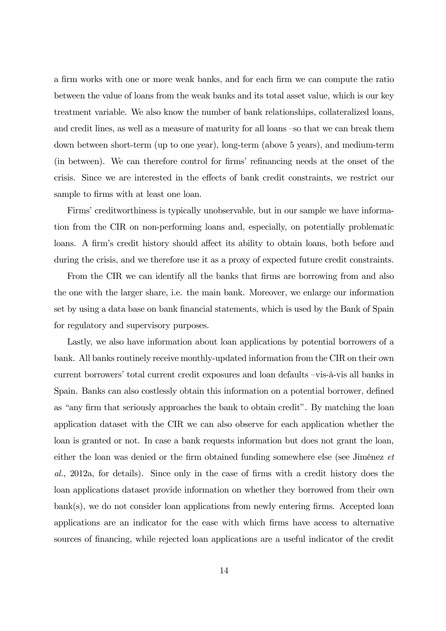a firm works with one or more weak banks, and for each firm we can compute the ratio between the value of loans from the weak banks and its total asset value, which is our key treatment variable. We also know the number of bank relationships, collateralized loans, and credit lines, as well as a measure of maturity for all loans —so that we can break them down between short-term (up to one year), long-term (above 5 years), and medium-term (in between). We can therefore control for firms' refinancing needs at the onset of the crisis. Since we are interested in the effects of bank credit constraints, we restrict our sample to firms with at least one loan.

Firms' creditworthiness is typically unobservable, but in our sample we have information from the CIR on non-performing loans and, especially, on potentially problematic loans. A firm's credit history should affect its ability to obtain loans, both before and during the crisis, and we therefore use it as a proxy of expected future credit constraints.

From the CIR we can identify all the banks that firms are borrowing from and also the one with the larger share, i.e. the main bank. Moreover, we enlarge our information set by using a data base on bank financial statements, which is used by the Bank of Spain for regulatory and supervisory purposes.

Lastly, we also have information about loan applications by potential borrowers of a bank. All banks routinely receive monthly-updated information from the CIR on their own current borrowers' total current credit exposures and loan defaults —vis-à-vis all banks in Spain. Banks can also costlessly obtain this information on a potential borrower, defined as "any firm that seriously approaches the bank to obtain credit". By matching the loan application dataset with the CIR we can also observe for each application whether the loan is granted or not. In case a bank requests information but does not grant the loan, either the loan was denied or the firm obtained funding somewhere else (see Jiménez et al., 2012a, for details). Since only in the case of firms with a credit history does the loan applications dataset provide information on whether they borrowed from their own bank(s), we do not consider loan applications from newly entering firms. Accepted loan applications are an indicator for the ease with which firms have access to alternative sources of financing, while rejected loan applications are a useful indicator of the credit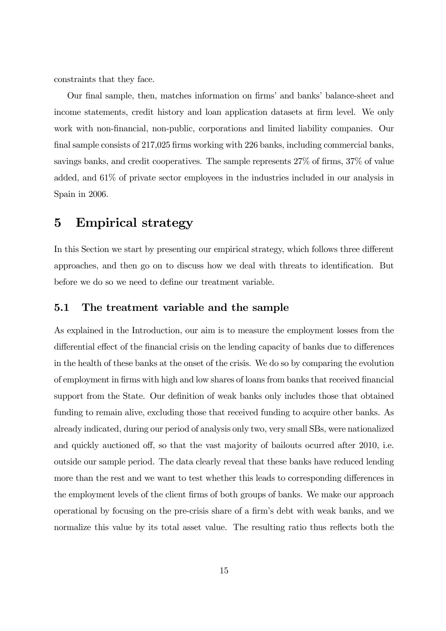constraints that they face.

Our final sample, then, matches information on firms' and banks' balance-sheet and income statements, credit history and loan application datasets at firm level. We only work with non-financial, non-public, corporations and limited liability companies. Our final sample consists of 217,025 firms working with 226 banks, including commercial banks, savings banks, and credit cooperatives. The sample represents 27% of firms, 37% of value added, and 61% of private sector employees in the industries included in our analysis in Spain in 2006.

### 5 Empirical strategy

In this Section we start by presenting our empirical strategy, which follows three different approaches, and then go on to discuss how we deal with threats to identification. But before we do so we need to define our treatment variable.

#### 5.1 The treatment variable and the sample

As explained in the Introduction, our aim is to measure the employment losses from the differential effect of the financial crisis on the lending capacity of banks due to differences in the health of these banks at the onset of the crisis. We do so by comparing the evolution of employment in firms with high and low shares of loans from banks that received financial support from the State. Our definition of weak banks only includes those that obtained funding to remain alive, excluding those that received funding to acquire other banks. As already indicated, during our period of analysis only two, very small SBs, were nationalized and quickly auctioned off, so that the vast majority of bailouts ocurred after 2010, i.e. outside our sample period. The data clearly reveal that these banks have reduced lending more than the rest and we want to test whether this leads to corresponding differences in the employment levels of the client firms of both groups of banks. We make our approach operational by focusing on the pre-crisis share of a firm's debt with weak banks, and we normalize this value by its total asset value. The resulting ratio thus reflects both the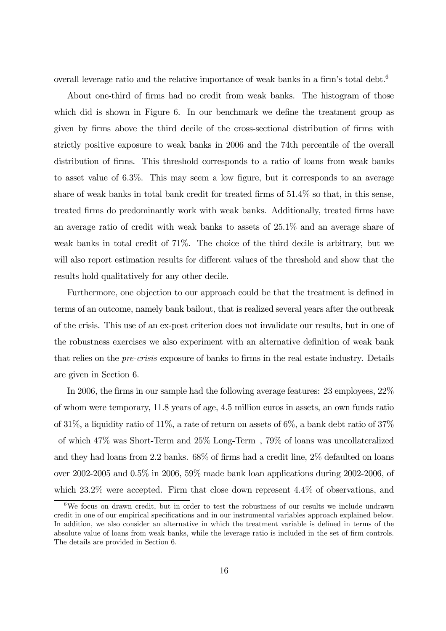overall leverage ratio and the relative importance of weak banks in a firm's total debt.<sup>6</sup>

About one-third of firms had no credit from weak banks. The histogram of those which did is shown in Figure 6. In our benchmark we define the treatment group as given by firms above the third decile of the cross-sectional distribution of firms with strictly positive exposure to weak banks in 2006 and the 74th percentile of the overall distribution of firms. This threshold corresponds to a ratio of loans from weak banks to asset value of 6.3%. This may seem a low figure, but it corresponds to an average share of weak banks in total bank credit for treated firms of 51.4% so that, in this sense, treated firms do predominantly work with weak banks. Additionally, treated firms have an average ratio of credit with weak banks to assets of 25.1% and an average share of weak banks in total credit of 71%. The choice of the third decile is arbitrary, but we will also report estimation results for different values of the threshold and show that the results hold qualitatively for any other decile.

Furthermore, one objection to our approach could be that the treatment is defined in terms of an outcome, namely bank bailout, that is realized several years after the outbreak of the crisis. This use of an ex-post criterion does not invalidate our results, but in one of the robustness exercises we also experiment with an alternative definition of weak bank that relies on the pre-crisis exposure of banks to firms in the real estate industry. Details are given in Section 6.

In 2006, the firms in our sample had the following average features: 23 employees, 22% of whom were temporary, 11.8 years of age, 4.5 million euros in assets, an own funds ratio of 31%, a liquidity ratio of 11%, a rate of return on assets of 6%, a bank debt ratio of 37% —of which 47% was Short-Term and 25% Long-Term—, 79% of loans was uncollateralized and they had loans from 2.2 banks. 68% of firms had a credit line, 2% defaulted on loans over 2002-2005 and 0.5% in 2006, 59% made bank loan applications during 2002-2006, of which  $23.2\%$  were accepted. Firm that close down represent  $4.4\%$  of observations, and

 $6$ We focus on drawn credit, but in order to test the robustness of our results we include undrawn credit in one of our empirical specifications and in our instrumental variables approach explained below. In addition, we also consider an alternative in which the treatment variable is defined in terms of the absolute value of loans from weak banks, while the leverage ratio is included in the set of firm controls. The details are provided in Section 6.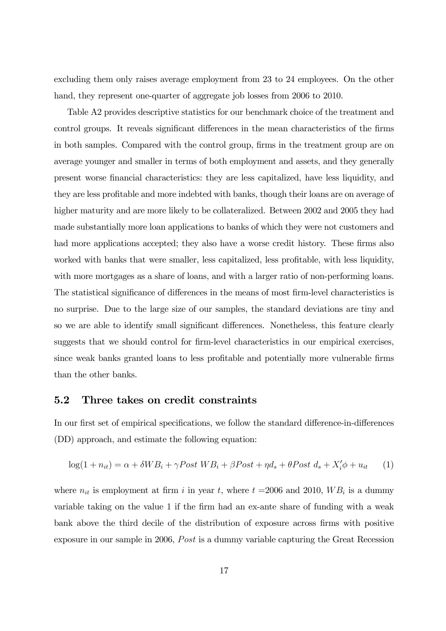excluding them only raises average employment from 23 to 24 employees. On the other hand, they represent one-quarter of aggregate job losses from 2006 to 2010.

Table A2 provides descriptive statistics for our benchmark choice of the treatment and control groups. It reveals significant differences in the mean characteristics of the firms in both samples. Compared with the control group, firms in the treatment group are on average younger and smaller in terms of both employment and assets, and they generally present worse financial characteristics: they are less capitalized, have less liquidity, and they are less profitable and more indebted with banks, though their loans are on average of higher maturity and are more likely to be collateralized. Between 2002 and 2005 they had made substantially more loan applications to banks of which they were not customers and had more applications accepted; they also have a worse credit history. These firms also worked with banks that were smaller, less capitalized, less profitable, with less liquidity, with more mortgages as a share of loans, and with a larger ratio of non-performing loans. The statistical significance of differences in the means of most firm-level characteristics is no surprise. Due to the large size of our samples, the standard deviations are tiny and so we are able to identify small significant differences. Nonetheless, this feature clearly suggests that we should control for firm-level characteristics in our empirical exercises, since weak banks granted loans to less profitable and potentially more vulnerable firms than the other banks.

#### 5.2 Three takes on credit constraints

In our first set of empirical specifications, we follow the standard difference-in-differences (DD) approach, and estimate the following equation:

$$
log(1 + n_{it}) = \alpha + \delta WB_i + \gamma Post WB_i + \beta Post + \eta d_s + \theta Post d_s + X'_i \phi + u_{it} \tag{1}
$$

where  $n_{it}$  is employment at firm i in year t, where  $t = 2006$  and 2010,  $WB_i$  is a dummy variable taking on the value 1 if the firm had an ex-ante share of funding with a weak bank above the third decile of the distribution of exposure across firms with positive exposure in our sample in 2006, Post is a dummy variable capturing the Great Recession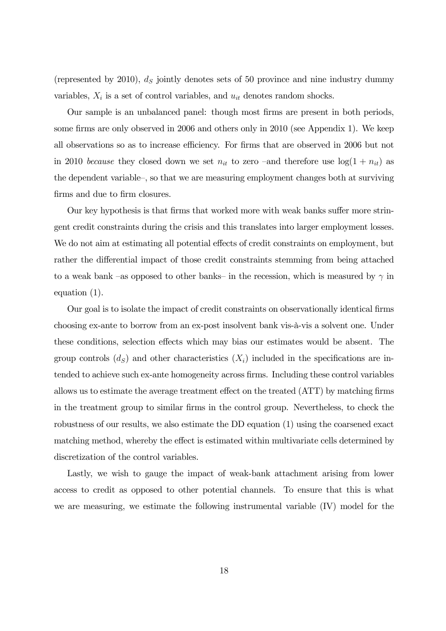(represented by 2010),  $d<sub>S</sub>$  jointly denotes sets of 50 province and nine industry dummy variables,  $X_i$  is a set of control variables, and  $u_{it}$  denotes random shocks.

Our sample is an unbalanced panel: though most firms are present in both periods, some firms are only observed in 2006 and others only in 2010 (see Appendix 1). We keep all observations so as to increase efficiency. For firms that are observed in 2006 but not in 2010 because they closed down we set  $n_{it}$  to zero –and therefore use  $log(1 + n_{it})$  as the dependent variable—, so that we are measuring employment changes both at surviving firms and due to firm closures.

Our key hypothesis is that firms that worked more with weak banks suffer more stringent credit constraints during the crisis and this translates into larger employment losses. We do not aim at estimating all potential effects of credit constraints on employment, but rather the differential impact of those credit constraints stemming from being attached to a weak bank –as opposed to other banks– in the recession, which is measured by  $\gamma$  in equation (1).

Our goal is to isolate the impact of credit constraints on observationally identical firms choosing ex-ante to borrow from an ex-post insolvent bank vis-à-vis a solvent one. Under these conditions, selection effects which may bias our estimates would be absent. The group controls  $(d_S)$  and other characteristics  $(X_i)$  included in the specifications are intended to achieve such ex-ante homogeneity across firms. Including these control variables allows us to estimate the average treatment effect on the treated (ATT) by matching firms in the treatment group to similar firms in the control group. Nevertheless, to check the robustness of our results, we also estimate the DD equation (1) using the coarsened exact matching method, whereby the effect is estimated within multivariate cells determined by discretization of the control variables.

Lastly, we wish to gauge the impact of weak-bank attachment arising from lower access to credit as opposed to other potential channels. To ensure that this is what we are measuring, we estimate the following instrumental variable (IV) model for the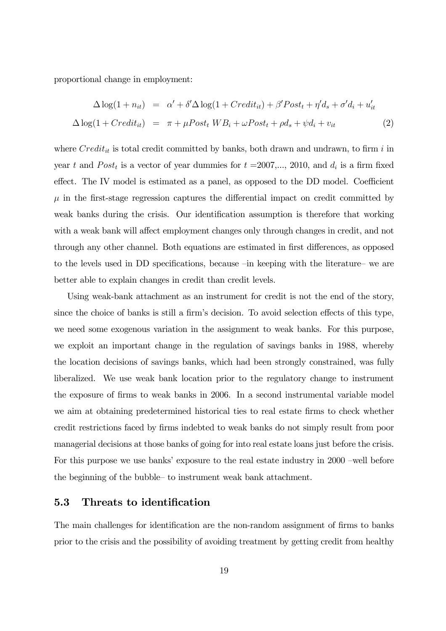proportional change in employment:

$$
\Delta \log(1 + n_{it}) = \alpha' + \delta' \Delta \log(1 + Credit_{it}) + \beta' Post_t + \eta' d_s + \sigma' d_i + u'_{it}
$$
  

$$
\Delta \log(1 + Credit_{it}) = \pi + \mu Post_t WB_i + \omega Post_t + \rho d_s + \psi d_i + v_{it}
$$
 (2)

where  $Credit_{it}$  is total credit committed by banks, both drawn and undrawn, to firm i in year t and  $Post<sub>t</sub>$  is a vector of year dummies for  $t = 2007,..., 2010$ , and  $d<sub>i</sub>$  is a firm fixed effect. The IV model is estimated as a panel, as opposed to the DD model. Coefficient  $\mu$  in the first-stage regression captures the differential impact on credit committed by weak banks during the crisis. Our identification assumption is therefore that working with a weak bank will affect employment changes only through changes in credit, and not through any other channel. Both equations are estimated in first differences, as opposed to the levels used in DD specifications, because —in keeping with the literature— we are better able to explain changes in credit than credit levels.

Using weak-bank attachment as an instrument for credit is not the end of the story, since the choice of banks is still a firm's decision. To avoid selection effects of this type, we need some exogenous variation in the assignment to weak banks. For this purpose, we exploit an important change in the regulation of savings banks in 1988, whereby the location decisions of savings banks, which had been strongly constrained, was fully liberalized. We use weak bank location prior to the regulatory change to instrument the exposure of firms to weak banks in 2006. In a second instrumental variable model we aim at obtaining predetermined historical ties to real estate firms to check whether credit restrictions faced by firms indebted to weak banks do not simply result from poor managerial decisions at those banks of going for into real estate loans just before the crisis. For this purpose we use banks' exposure to the real estate industry in 2000 —well before the beginning of the bubble— to instrument weak bank attachment.

#### 5.3 Threats to identification

The main challenges for identification are the non-random assignment of firms to banks prior to the crisis and the possibility of avoiding treatment by getting credit from healthy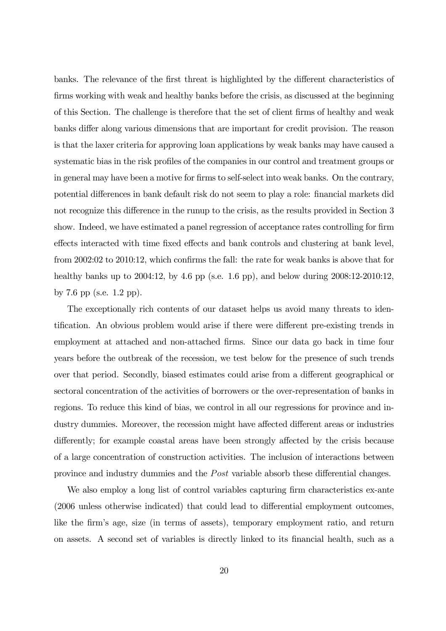banks. The relevance of the first threat is highlighted by the different characteristics of firms working with weak and healthy banks before the crisis, as discussed at the beginning of this Section. The challenge is therefore that the set of client firms of healthy and weak banks differ along various dimensions that are important for credit provision. The reason is that the laxer criteria for approving loan applications by weak banks may have caused a systematic bias in the risk profiles of the companies in our control and treatment groups or in general may have been a motive for firms to self-select into weak banks. On the contrary, potential differences in bank default risk do not seem to play a role: financial markets did not recognize this difference in the runup to the crisis, as the results provided in Section 3 show. Indeed, we have estimated a panel regression of acceptance rates controlling for firm effects interacted with time fixed effects and bank controls and clustering at bank level, from 2002:02 to 2010:12, which confirms the fall: the rate for weak banks is above that for healthy banks up to  $2004:12$ , by 4.6 pp (s.e. 1.6 pp), and below during  $2008:12-2010:12$ , by 7.6 pp (s.e. 1.2 pp).

The exceptionally rich contents of our dataset helps us avoid many threats to identification. An obvious problem would arise if there were different pre-existing trends in employment at attached and non-attached firms. Since our data go back in time four years before the outbreak of the recession, we test below for the presence of such trends over that period. Secondly, biased estimates could arise from a different geographical or sectoral concentration of the activities of borrowers or the over-representation of banks in regions. To reduce this kind of bias, we control in all our regressions for province and industry dummies. Moreover, the recession might have affected different areas or industries differently; for example coastal areas have been strongly affected by the crisis because of a large concentration of construction activities. The inclusion of interactions between province and industry dummies and the *Post* variable absorb these differential changes.

We also employ a long list of control variables capturing firm characteristics ex-ante (2006 unless otherwise indicated) that could lead to differential employment outcomes, like the firm's age, size (in terms of assets), temporary employment ratio, and return on assets. A second set of variables is directly linked to its financial health, such as a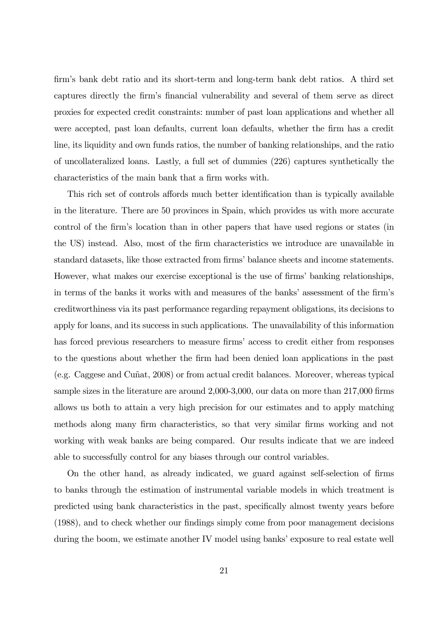firm's bank debt ratio and its short-term and long-term bank debt ratios. A third set captures directly the firm's financial vulnerability and several of them serve as direct proxies for expected credit constraints: number of past loan applications and whether all were accepted, past loan defaults, current loan defaults, whether the firm has a credit line, its liquidity and own funds ratios, the number of banking relationships, and the ratio of uncollateralized loans. Lastly, a full set of dummies (226) captures synthetically the characteristics of the main bank that a firm works with.

This rich set of controls affords much better identification than is typically available in the literature. There are 50 provinces in Spain, which provides us with more accurate control of the firm's location than in other papers that have used regions or states (in the US) instead. Also, most of the firm characteristics we introduce are unavailable in standard datasets, like those extracted from firms' balance sheets and income statements. However, what makes our exercise exceptional is the use of firms' banking relationships, in terms of the banks it works with and measures of the banks' assessment of the firm's creditworthiness via its past performance regarding repayment obligations, its decisions to apply for loans, and its success in such applications. The unavailability of this information has forced previous researchers to measure firms' access to credit either from responses to the questions about whether the firm had been denied loan applications in the past (e.g. Caggese and Cuñat, 2008) or from actual credit balances. Moreover, whereas typical sample sizes in the literature are around 2,000-3,000, our data on more than 217,000 firms allows us both to attain a very high precision for our estimates and to apply matching methods along many firm characteristics, so that very similar firms working and not working with weak banks are being compared. Our results indicate that we are indeed able to successfully control for any biases through our control variables.

On the other hand, as already indicated, we guard against self-selection of firms to banks through the estimation of instrumental variable models in which treatment is predicted using bank characteristics in the past, specifically almost twenty years before (1988), and to check whether our findings simply come from poor management decisions during the boom, we estimate another IV model using banks' exposure to real estate well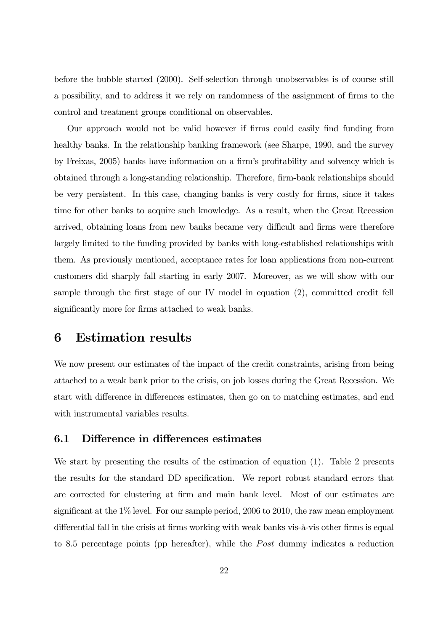before the bubble started (2000). Self-selection through unobservables is of course still a possibility, and to address it we rely on randomness of the assignment of firms to the control and treatment groups conditional on observables.

Our approach would not be valid however if firms could easily find funding from healthy banks. In the relationship banking framework (see Sharpe, 1990, and the survey by Freixas, 2005) banks have information on a firm's profitability and solvency which is obtained through a long-standing relationship. Therefore, firm-bank relationships should be very persistent. In this case, changing banks is very costly for firms, since it takes time for other banks to acquire such knowledge. As a result, when the Great Recession arrived, obtaining loans from new banks became very difficult and firms were therefore largely limited to the funding provided by banks with long-established relationships with them. As previously mentioned, acceptance rates for loan applications from non-current customers did sharply fall starting in early 2007. Moreover, as we will show with our sample through the first stage of our IV model in equation (2), committed credit fell significantly more for firms attached to weak banks.

### 6 Estimation results

We now present our estimates of the impact of the credit constraints, arising from being attached to a weak bank prior to the crisis, on job losses during the Great Recession. We start with difference in differences estimates, then go on to matching estimates, and end with instrumental variables results.

#### 6.1 Difference in differences estimates

We start by presenting the results of the estimation of equation (1). Table 2 presents the results for the standard DD specification. We report robust standard errors that are corrected for clustering at firm and main bank level. Most of our estimates are significant at the 1% level. For our sample period, 2006 to 2010, the raw mean employment differential fall in the crisis at firms working with weak banks vis-à-vis other firms is equal to 8.5 percentage points (pp hereafter), while the  $Post$  dummy indicates a reduction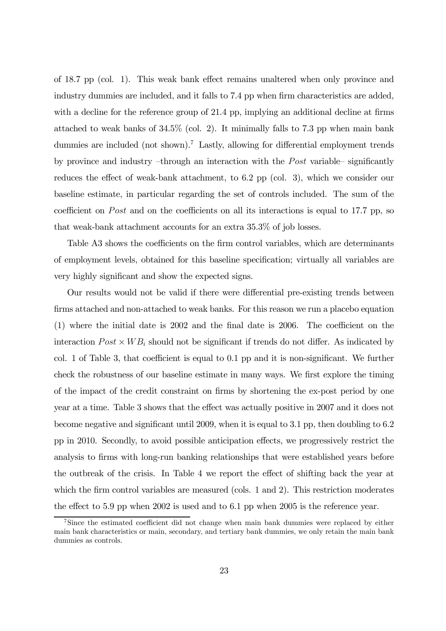of 18.7 pp (col. 1). This weak bank effect remains unaltered when only province and industry dummies are included, and it falls to 7.4 pp when firm characteristics are added, with a decline for the reference group of 21.4 pp, implying an additional decline at firms attached to weak banks of 34.5% (col. 2). It minimally falls to 7.3 pp when main bank dummies are included (not shown).<sup>7</sup> Lastly, allowing for differential employment trends by province and industry –through an interaction with the  $Post$  variable– significantly reduces the effect of weak-bank attachment, to 6.2 pp (col. 3), which we consider our baseline estimate, in particular regarding the set of controls included. The sum of the coefficient on Post and on the coefficients on all its interactions is equal to 17.7 pp, so that weak-bank attachment accounts for an extra 35.3% of job losses.

Table A3 shows the coefficients on the firm control variables, which are determinants of employment levels, obtained for this baseline specification; virtually all variables are very highly significant and show the expected signs.

Our results would not be valid if there were differential pre-existing trends between firms attached and non-attached to weak banks. For this reason we run a placebo equation (1) where the initial date is 2002 and the final date is 2006. The coefficient on the interaction  $Post \times WB$  should not be significant if trends do not differ. As indicated by col. 1 of Table 3, that coefficient is equal to 0.1 pp and it is non-significant. We further check the robustness of our baseline estimate in many ways. We first explore the timing of the impact of the credit constraint on firms by shortening the ex-post period by one year at a time. Table 3 shows that the effect was actually positive in 2007 and it does not become negative and significant until 2009, when it is equal to 3.1 pp, then doubling to 6.2 pp in 2010. Secondly, to avoid possible anticipation effects, we progressively restrict the analysis to firms with long-run banking relationships that were established years before the outbreak of the crisis. In Table 4 we report the effect of shifting back the year at which the firm control variables are measured (cols. 1 and 2). This restriction moderates the effect to 5.9 pp when 2002 is used and to 6.1 pp when 2005 is the reference year.

<sup>7</sup>Since the estimated coefficient did not change when main bank dummies were replaced by either main bank characteristics or main, secondary, and tertiary bank dummies, we only retain the main bank dummies as controls.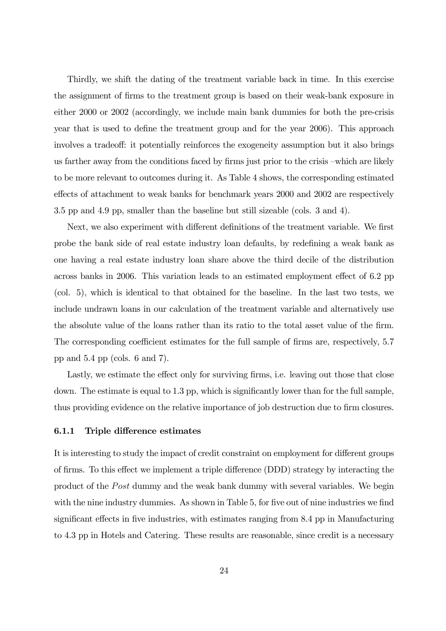Thirdly, we shift the dating of the treatment variable back in time. In this exercise the assignment of firms to the treatment group is based on their weak-bank exposure in either 2000 or 2002 (accordingly, we include main bank dummies for both the pre-crisis year that is used to define the treatment group and for the year 2006). This approach involves a tradeoff: it potentially reinforces the exogeneity assumption but it also brings us farther away from the conditions faced by firms just prior to the crisis —which are likely to be more relevant to outcomes during it. As Table 4 shows, the corresponding estimated effects of attachment to weak banks for benchmark years 2000 and 2002 are respectively 3.5 pp and 4.9 pp, smaller than the baseline but still sizeable (cols. 3 and 4).

Next, we also experiment with different definitions of the treatment variable. We first probe the bank side of real estate industry loan defaults, by redefining a weak bank as one having a real estate industry loan share above the third decile of the distribution across banks in 2006. This variation leads to an estimated employment effect of 6.2 pp (col. 5), which is identical to that obtained for the baseline. In the last two tests, we include undrawn loans in our calculation of the treatment variable and alternatively use the absolute value of the loans rather than its ratio to the total asset value of the firm. The corresponding coefficient estimates for the full sample of firms are, respectively, 5.7 pp and 5.4 pp (cols. 6 and 7).

Lastly, we estimate the effect only for surviving firms, i.e. leaving out those that close down. The estimate is equal to 1.3 pp, which is significantly lower than for the full sample, thus providing evidence on the relative importance of job destruction due to firm closures.

#### 6.1.1 Triple difference estimates

It is interesting to study the impact of credit constraint on employment for different groups of firms. To this effect we implement a triple difference (DDD) strategy by interacting the product of the *Post* dummy and the weak bank dummy with several variables. We begin with the nine industry dummies. As shown in Table 5, for five out of nine industries we find significant effects in five industries, with estimates ranging from 8.4 pp in Manufacturing to 4.3 pp in Hotels and Catering. These results are reasonable, since credit is a necessary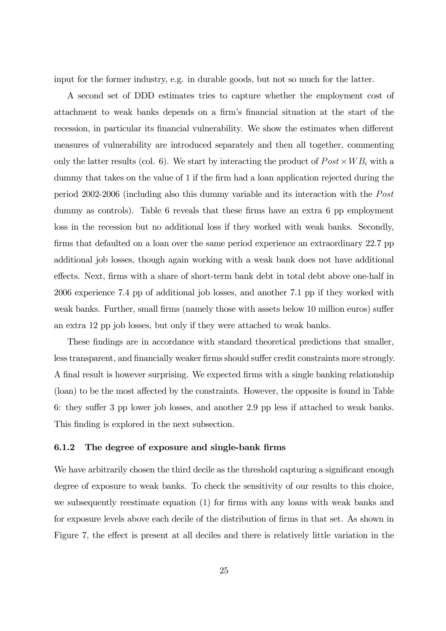input for the former industry, e.g. in durable goods, but not so much for the latter.

A second set of DDD estimates tries to capture whether the employment cost of attachment to weak banks depends on a firm's financial situation at the start of the recession, in particular its financial vulnerability. We show the estimates when different measures of vulnerability are introduced separately and then all together, commenting only the latter results (col. 6). We start by interacting the product of  $Post \times WB$  with a dummy that takes on the value of 1 if the firm had a loan application rejected during the period 2002-2006 (including also this dummy variable and its interaction with the  $Post$ dummy as controls). Table 6 reveals that these firms have an extra 6 pp employment loss in the recession but no additional loss if they worked with weak banks. Secondly, firms that defaulted on a loan over the same period experience an extraordinary 22.7 pp additional job losses, though again working with a weak bank does not have additional effects. Next, firms with a share of short-term bank debt in total debt above one-half in 2006 experience 7.4 pp of additional job losses, and another 7.1 pp if they worked with weak banks. Further, small firms (namely those with assets below 10 million euros) suffer an extra 12 pp job losses, but only if they were attached to weak banks.

These findings are in accordance with standard theoretical predictions that smaller, less transparent, and financially weaker firms should suffer credit constraints more strongly. A final result is however surprising. We expected firms with a single banking relationship (loan) to be the most affected by the constraints. However, the opposite is found in Table 6: they suffer 3 pp lower job losses, and another 2.9 pp less if attached to weak banks. This finding is explored in the next subsection.

#### 6.1.2 The degree of exposure and single-bank firms

We have arbitrarily chosen the third decile as the threshold capturing a significant enough degree of exposure to weak banks. To check the sensitivity of our results to this choice, we subsequently reestimate equation (1) for firms with any loans with weak banks and for exposure levels above each decile of the distribution of firms in that set. As shown in Figure 7, the effect is present at all deciles and there is relatively little variation in the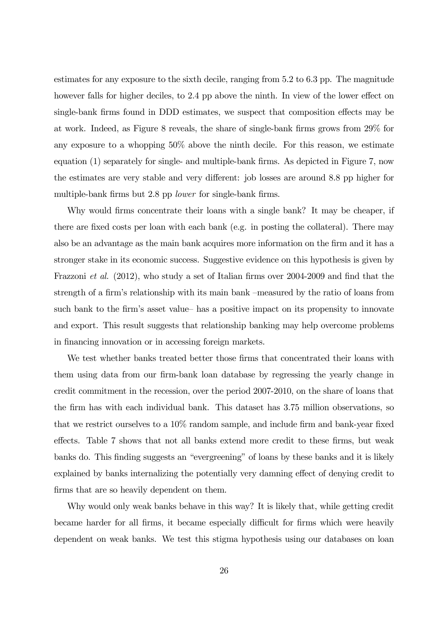estimates for any exposure to the sixth decile, ranging from 5.2 to 6.3 pp. The magnitude however falls for higher deciles, to 2.4 pp above the ninth. In view of the lower effect on single-bank firms found in DDD estimates, we suspect that composition effects may be at work. Indeed, as Figure 8 reveals, the share of single-bank firms grows from 29% for any exposure to a whopping 50% above the ninth decile. For this reason, we estimate equation (1) separately for single- and multiple-bank firms. As depicted in Figure 7, now the estimates are very stable and very different: job losses are around 8.8 pp higher for multiple-bank firms but 2.8 pp *lower* for single-bank firms.

Why would firms concentrate their loans with a single bank? It may be cheaper, if there are fixed costs per loan with each bank (e.g. in posting the collateral). There may also be an advantage as the main bank acquires more information on the firm and it has a stronger stake in its economic success. Suggestive evidence on this hypothesis is given by Frazzoni et al. (2012), who study a set of Italian firms over 2004-2009 and find that the strength of a firm's relationship with its main bank —measured by the ratio of loans from such bank to the firm's asset value— has a positive impact on its propensity to innovate and export. This result suggests that relationship banking may help overcome problems in financing innovation or in accessing foreign markets.

We test whether banks treated better those firms that concentrated their loans with them using data from our firm-bank loan database by regressing the yearly change in credit commitment in the recession, over the period 2007-2010, on the share of loans that the firm has with each individual bank. This dataset has 3.75 million observations, so that we restrict ourselves to a 10% random sample, and include firm and bank-year fixed effects. Table 7 shows that not all banks extend more credit to these firms, but weak banks do. This finding suggests an "evergreening" of loans by these banks and it is likely explained by banks internalizing the potentially very damning effect of denying credit to firms that are so heavily dependent on them.

Why would only weak banks behave in this way? It is likely that, while getting credit became harder for all firms, it became especially difficult for firms which were heavily dependent on weak banks. We test this stigma hypothesis using our databases on loan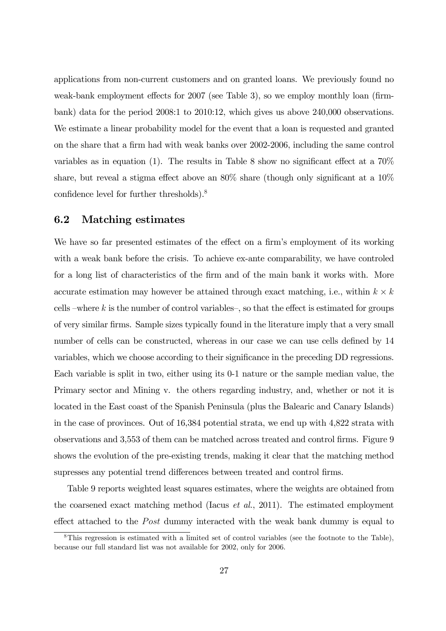applications from non-current customers and on granted loans. We previously found no weak-bank employment effects for 2007 (see Table 3), so we employ monthly loan (firmbank) data for the period 2008:1 to 2010:12, which gives us above 240,000 observations. We estimate a linear probability model for the event that a loan is requested and granted on the share that a firm had with weak banks over 2002-2006, including the same control variables as in equation (1). The results in Table 8 show no significant effect at a 70% share, but reveal a stigma effect above an 80% share (though only significant at a 10% confidence level for further thresholds).8

#### 6.2 Matching estimates

We have so far presented estimates of the effect on a firm's employment of its working with a weak bank before the crisis. To achieve ex-ante comparability, we have controled for a long list of characteristics of the firm and of the main bank it works with. More accurate estimation may however be attained through exact matching, i.e., within  $k \times k$ cells –where  $k$  is the number of control variables–, so that the effect is estimated for groups of very similar firms. Sample sizes typically found in the literature imply that a very small number of cells can be constructed, whereas in our case we can use cells defined by 14 variables, which we choose according to their significance in the preceding DD regressions. Each variable is split in two, either using its 0-1 nature or the sample median value, the Primary sector and Mining v. the others regarding industry, and, whether or not it is located in the East coast of the Spanish Peninsula (plus the Balearic and Canary Islands) in the case of provinces. Out of 16,384 potential strata, we end up with 4,822 strata with observations and 3,553 of them can be matched across treated and control firms. Figure 9 shows the evolution of the pre-existing trends, making it clear that the matching method supresses any potential trend differences between treated and control firms.

Table 9 reports weighted least squares estimates, where the weights are obtained from the coarsened exact matching method (Iacus *et al.*, 2011). The estimated employment effect attached to the *Post* dummy interacted with the weak bank dummy is equal to

<sup>8</sup>This regression is estimated with a limited set of control variables (see the footnote to the Table), because our full standard list was not available for 2002, only for 2006.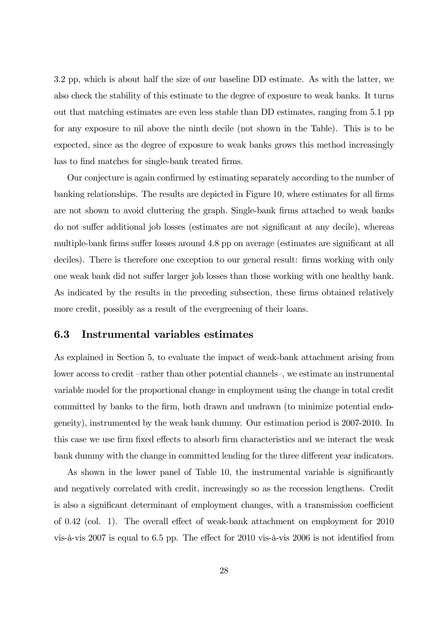3.2 pp, which is about half the size of our baseline DD estimate. As with the latter, we also check the stability of this estimate to the degree of exposure to weak banks. It turns out that matching estimates are even less stable than DD estimates, ranging from 5.1 pp for any exposure to nil above the ninth decile (not shown in the Table). This is to be expected, since as the degree of exposure to weak banks grows this method increasingly has to find matches for single-bank treated firms.

Our conjecture is again confirmed by estimating separately according to the number of banking relationships. The results are depicted in Figure 10, where estimates for all firms are not shown to avoid cluttering the graph. Single-bank firms attached to weak banks do not suffer additional job losses (estimates are not significant at any decile), whereas multiple-bank firms suffer losses around 4.8 pp on average (estimates are significant at all deciles). There is therefore one exception to our general result: firms working with only one weak bank did not suffer larger job losses than those working with one healthy bank. As indicated by the results in the preceding subsection, these firms obtained relatively more credit, possibly as a result of the evergreening of their loans.

#### 6.3 Instrumental variables estimates

As explained in Section 5, to evaluate the impact of weak-bank attachment arising from lower access to credit —rather than other potential channels—, we estimate an instrumental variable model for the proportional change in employment using the change in total credit committed by banks to the firm, both drawn and undrawn (to minimize potential endogeneity), instrumented by the weak bank dummy. Our estimation period is 2007-2010. In this case we use firm fixed effects to absorb firm characteristics and we interact the weak bank dummy with the change in committed lending for the three different year indicators.

As shown in the lower panel of Table 10, the instrumental variable is significantly and negatively correlated with credit, increasingly so as the recession lengthens. Credit is also a significant determinant of employment changes, with a transmission coefficient of 0.42 (col. 1). The overall effect of weak-bank attachment on employment for 2010 vis-à-vis 2007 is equal to 6.5 pp. The effect for 2010 vis-à-vis 2006 is not identified from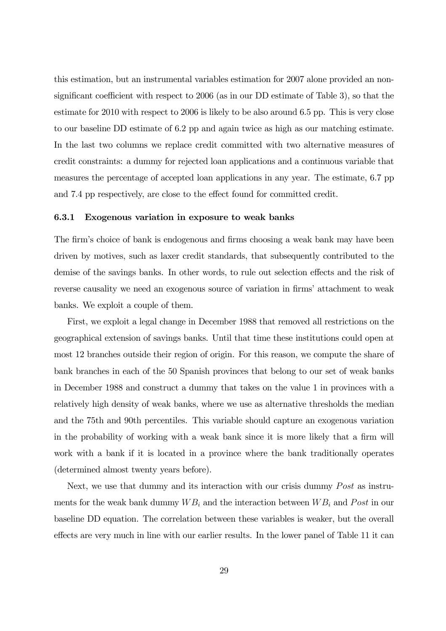this estimation, but an instrumental variables estimation for 2007 alone provided an nonsignificant coefficient with respect to 2006 (as in our DD estimate of Table 3), so that the estimate for 2010 with respect to 2006 is likely to be also around 6.5 pp. This is very close to our baseline DD estimate of 6.2 pp and again twice as high as our matching estimate. In the last two columns we replace credit committed with two alternative measures of credit constraints: a dummy for rejected loan applications and a continuous variable that measures the percentage of accepted loan applications in any year. The estimate, 6.7 pp and 7.4 pp respectively, are close to the effect found for committed credit.

#### 6.3.1 Exogenous variation in exposure to weak banks

The firm's choice of bank is endogenous and firms choosing a weak bank may have been driven by motives, such as laxer credit standards, that subsequently contributed to the demise of the savings banks. In other words, to rule out selection effects and the risk of reverse causality we need an exogenous source of variation in firms' attachment to weak banks. We exploit a couple of them.

First, we exploit a legal change in December 1988 that removed all restrictions on the geographical extension of savings banks. Until that time these institutions could open at most 12 branches outside their region of origin. For this reason, we compute the share of bank branches in each of the 50 Spanish provinces that belong to our set of weak banks in December 1988 and construct a dummy that takes on the value 1 in provinces with a relatively high density of weak banks, where we use as alternative thresholds the median and the 75th and 90th percentiles. This variable should capture an exogenous variation in the probability of working with a weak bank since it is more likely that a firm will work with a bank if it is located in a province where the bank traditionally operates (determined almost twenty years before).

Next, we use that dummy and its interaction with our crisis dummy  $Post$  as instruments for the weak bank dummy  $WB<sub>i</sub>$  and the interaction between  $WB<sub>i</sub>$  and Post in our baseline DD equation. The correlation between these variables is weaker, but the overall effects are very much in line with our earlier results. In the lower panel of Table 11 it can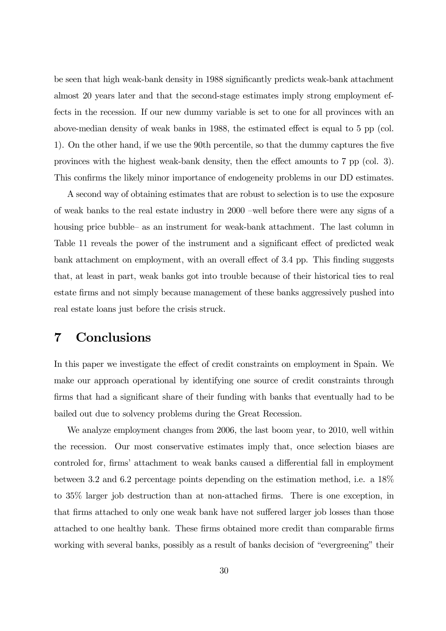be seen that high weak-bank density in 1988 significantly predicts weak-bank attachment almost 20 years later and that the second-stage estimates imply strong employment effects in the recession. If our new dummy variable is set to one for all provinces with an above-median density of weak banks in 1988, the estimated effect is equal to 5 pp (col. 1). On the other hand, if we use the 90th percentile, so that the dummy captures the five provinces with the highest weak-bank density, then the effect amounts to 7 pp (col. 3). This confirms the likely minor importance of endogeneity problems in our DD estimates.

A second way of obtaining estimates that are robust to selection is to use the exposure of weak banks to the real estate industry in 2000 —well before there were any signs of a housing price bubble— as an instrument for weak-bank attachment. The last column in Table 11 reveals the power of the instrument and a significant effect of predicted weak bank attachment on employment, with an overall effect of 3.4 pp. This finding suggests that, at least in part, weak banks got into trouble because of their historical ties to real estate firms and not simply because management of these banks aggressively pushed into real estate loans just before the crisis struck.

### 7 Conclusions

In this paper we investigate the effect of credit constraints on employment in Spain. We make our approach operational by identifying one source of credit constraints through firms that had a significant share of their funding with banks that eventually had to be bailed out due to solvency problems during the Great Recession.

We analyze employment changes from 2006, the last boom year, to 2010, well within the recession. Our most conservative estimates imply that, once selection biases are controled for, firms' attachment to weak banks caused a differential fall in employment between 3.2 and 6.2 percentage points depending on the estimation method, i.e. a 18% to 35% larger job destruction than at non-attached firms. There is one exception, in that firms attached to only one weak bank have not suffered larger job losses than those attached to one healthy bank. These firms obtained more credit than comparable firms working with several banks, possibly as a result of banks decision of "evergreening" their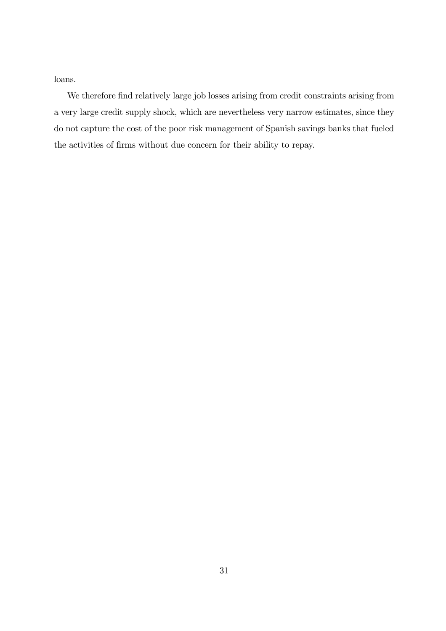loans.

We therefore find relatively large job losses arising from credit constraints arising from a very large credit supply shock, which are nevertheless very narrow estimates, since they do not capture the cost of the poor risk management of Spanish savings banks that fueled the activities of firms without due concern for their ability to repay.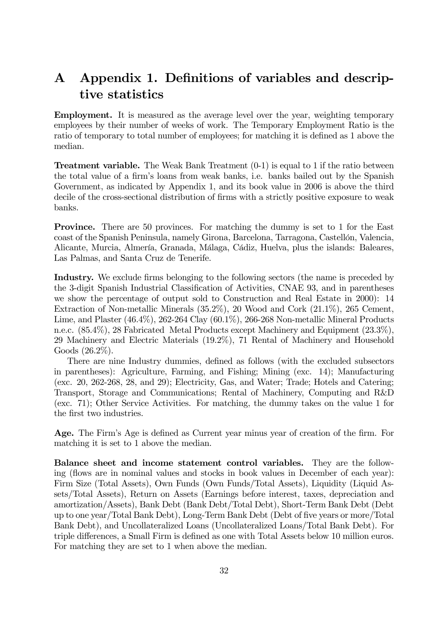## A Appendix 1. Definitions of variables and descriptive statistics

Employment. It is measured as the average level over the year, weighting temporary employees by their number of weeks of work. The Temporary Employment Ratio is the ratio of temporary to total number of employees; for matching it is defined as 1 above the median.

**Treatment variable.** The Weak Bank Treatment  $(0-1)$  is equal to 1 if the ratio between the total value of a firm's loans from weak banks, i.e. banks bailed out by the Spanish Government, as indicated by Appendix 1, and its book value in 2006 is above the third decile of the cross-sectional distribution of firms with a strictly positive exposure to weak banks.

Province. There are 50 provinces. For matching the dummy is set to 1 for the East coast of the Spanish Peninsula, namely Girona, Barcelona, Tarragona, Castellón, Valencia, Alicante, Murcia, Almería, Granada, Málaga, Cádiz, Huelva, plus the islands: Baleares, Las Palmas, and Santa Cruz de Tenerife.

Industry. We exclude firms belonging to the following sectors (the name is preceded by the 3-digit Spanish Industrial Classification of Activities, CNAE 93, and in parentheses we show the percentage of output sold to Construction and Real Estate in 2000): 14 Extraction of Non-metallic Minerals (35.2%), 20 Wood and Cork (21.1%), 265 Cement, Lime, and Plaster (46.4%), 262-264 Clay (60.1%), 266-268 Non-metallic Mineral Products n.e.c. (85.4%), 28 Fabricated Metal Products except Machinery and Equipment (23.3%), 29 Machinery and Electric Materials (19.2%), 71 Rental of Machinery and Household Goods (26.2%).

There are nine Industry dummies, defined as follows (with the excluded subsectors in parentheses): Agriculture, Farming, and Fishing; Mining (exc. 14); Manufacturing (exc. 20, 262-268, 28, and 29); Electricity, Gas, and Water; Trade; Hotels and Catering; Transport, Storage and Communications; Rental of Machinery, Computing and R&D (exc. 71); Other Service Activities. For matching, the dummy takes on the value 1 for the first two industries.

Age. The Firm's Age is defined as Current year minus year of creation of the firm. For matching it is set to 1 above the median.

Balance sheet and income statement control variables. They are the following (flows are in nominal values and stocks in book values in December of each year): Firm Size (Total Assets), Own Funds (Own Funds/Total Assets), Liquidity (Liquid Assets/Total Assets), Return on Assets (Earnings before interest, taxes, depreciation and amortization/Assets), Bank Debt (Bank Debt/Total Debt), Short-Term Bank Debt (Debt up to one year/Total Bank Debt), Long-Term Bank Debt (Debt of five years or more/Total Bank Debt), and Uncollateralized Loans (Uncollateralized Loans/Total Bank Debt). For triple differences, a Small Firm is defined as one with Total Assets below 10 million euros. For matching they are set to 1 when above the median.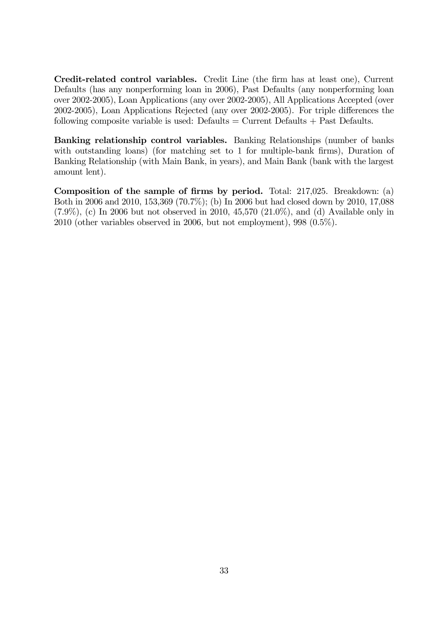Credit-related control variables. Credit Line (the firm has at least one), Current Defaults (has any nonperforming loan in 2006), Past Defaults (any nonperforming loan over 2002-2005), Loan Applications (any over 2002-2005), All Applications Accepted (over 2002-2005), Loan Applications Rejected (any over 2002-2005). For triple differences the following composite variable is used: Defaults  $=$  Current Defaults  $+$  Past Defaults.

Banking relationship control variables. Banking Relationships (number of banks with outstanding loans) (for matching set to 1 for multiple-bank firms), Duration of Banking Relationship (with Main Bank, in years), and Main Bank (bank with the largest amount lent).

Composition of the sample of firms by period. Total: 217,025. Breakdown: (a) Both in 2006 and 2010, 153,369 (70.7%); (b) In 2006 but had closed down by 2010, 17,088  $(7.9\%)$ , (c) In 2006 but not observed in 2010, 45,570  $(21.0\%)$ , and (d) Available only in 2010 (other variables observed in 2006, but not employment), 998 (0.5%).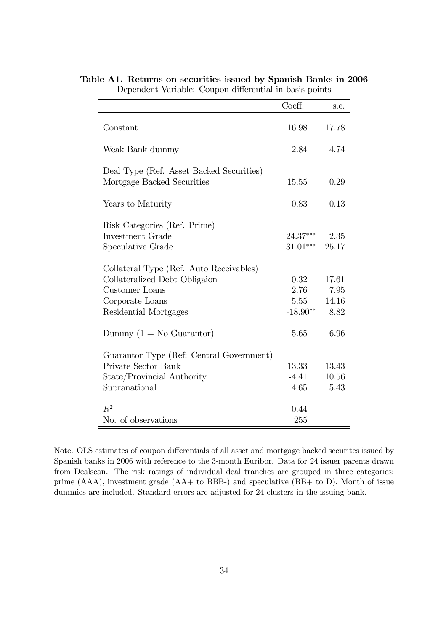|                                          | Coeff.      | s.e.  |
|------------------------------------------|-------------|-------|
|                                          |             |       |
| Constant                                 | 16.98       | 17.78 |
| Weak Bank dummy                          | 2.84        | 4.74  |
| Deal Type (Ref. Asset Backed Securities) |             |       |
| Mortgage Backed Securities               | 15.55       | 0.29  |
| Years to Maturity                        | 0.83        | 0.13  |
|                                          |             |       |
| Risk Categories (Ref. Prime)             |             |       |
| Investment Grade                         | $24.37***$  | 2.35  |
| Speculative Grade                        | $131.01***$ | 25.17 |
| Collateral Type (Ref. Auto Receivables)  |             |       |
| Collateralized Debt Obligaion            | 0.32        | 17.61 |
| Customer Loans                           | 2.76        | 7.95  |
| Corporate Loans                          | 5.55        | 14.16 |
| Residential Mortgages                    | $-18.90**$  | 8.82  |
| Dummy $(1 = No$ Guarantor)               | $-5.65$     | 6.96  |
| Guarantor Type (Ref: Central Government) |             |       |
| Private Sector Bank                      | 13.33       | 13.43 |
| State/Provincial Authority               | $-4.41$     | 10.56 |
| Supranational                            | 4.65        | 5.43  |
| $R^2$                                    | 0.44        |       |
| No. of observations                      | 255         |       |

Table A1. Returns on securities issued by Spanish Banks in 2006 Dependent Variable: Coupon differential in basis points

Note. OLS estimates of coupon differentials of all asset and mortgage backed securites issued by Spanish banks in 2006 with reference to the 3-month Euribor. Data for 24 issuer parents drawn from Dealscan. The risk ratings of individual deal tranches are grouped in three categories: prime (AAA), investment grade (AA+ to BBB-) and speculative (BB+ to D). Month of issue dummies are included. Standard errors are adjusted for 24 clusters in the issuing bank.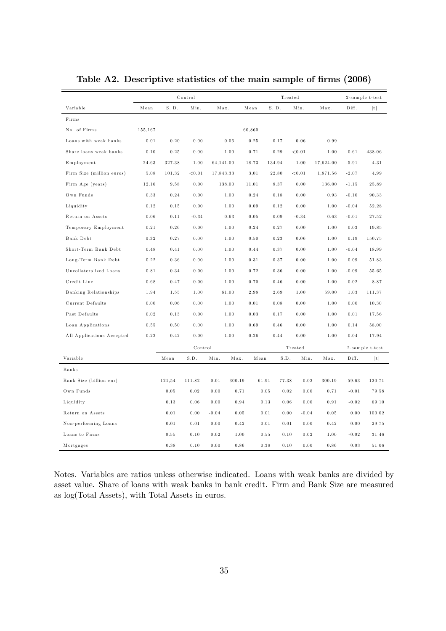|                           |         | Control  |                       |           |        | Treated |         |                 |           | 2-sample t-test |                 |
|---------------------------|---------|----------|-----------------------|-----------|--------|---------|---------|-----------------|-----------|-----------------|-----------------|
| Variable                  | Mean    | S. D.    | Min.                  | Max.      |        | Mean    | S. D.   | Min.            | Max.      | Diff.           | t               |
| Firms                     |         |          |                       |           |        |         |         |                 |           |                 |                 |
| No. of Firms              | 155,167 |          |                       |           |        | 60,860  |         |                 |           |                 |                 |
| Loans with weak banks     | 0.01    | 0.20     | 0.00                  |           | 0.06   | 0.25    | 0.17    | 0.06            | 0.99      |                 |                 |
| Share loans weak banks    | 0.10    | 0.25     | 0.00                  |           | 1.00   | 0.71    | 0.29    | < 0.01          | 1.00      | 0.61            | 438.06          |
| Employment                | 24.63   | 327.38   | 1.00                  | 64,141.00 |        | 18.73   | 134.94  | 1.00            | 17,624.00 | $-5.91$         | 4.31            |
| Firm Size (million euros) | 5.08    | 101.32   | < 0.01                | 17,843.33 |        | 3,01    | 22.80   | < 0.01          | 1,871.56  | $-2.07$         | 4.99            |
| Firm Age (years)          | 12.16   | 9.58     | 0.00                  |           | 138.00 | 11.01   | 8.37    | 0.00            | 136.00    | $-1.15$         | 25.89           |
| Own Funds                 | 0.33    | 0.24     | 0.00                  |           | 1.00   | 0.24    | 0.18    | 0.00            | 0.93      | $-0.10$         | 90.33           |
| Liquidity                 | 0.12    | 0.15     | 0.00                  |           | 1.00   | 0.09    | 0.12    | 0.00            | 1.00      | $-0.04$         | 52.28           |
| Return on Assets          | 0.06    | 0.11     | $-0.34$               |           | 0.63   | 0.05    | 0.09    | $-0.34$         | 0.63      | $-0.01$         | 27.52           |
| Temporary Employment      | 0.21    | 0.26     | 0.00                  |           | 1.00   | 0.24    | 0.27    | 0.00            | 1.00      | 0.03            | 19.85           |
| Bank Debt                 | 0.32    | 0.27     | 0.00                  |           | 1.00   | 0.50    | 0.23    | 0.06            | 1.00      | 0.19            | 150.75          |
| Short-Term Bank Debt      | 0.48    | 0.41     | 0.00                  |           | 1.00   | 0.44    | 0.37    | 0.00            | 1.00      | $-0.04$         | 18.99           |
| Long-Term Bank Debt       | 0.22    | $0.36\,$ | 0.00                  |           | 1.00   | 0.31    | 0.37    | 0.00            | 1.00      | 0.09            | 51.83           |
| Uncollateralized Loans    | 0.81    | 0.34     | 0.00                  |           | 1.00   | 0.72    | 0.36    | 0.00            | 1.00      | $-0.09$         | 55.65           |
| Credit Line               | 0.68    | 0.47     | 0.00                  |           | 1.00   | 0.70    | 0.46    | 0.00            | 1.00      | 0.02            | 8.87            |
| Banking Relationships     | 1.94    | 1.55     | 1.00                  |           | 61.00  | 2.98    | 2.69    | 1.00            | 59.00     | 1.03            | 111.37          |
| Current Defaults          | 0.00    | 0.06     | 0.00                  |           | 1.00   | 0.01    | 0.08    | 0.00            | 1.00      | 0.00            | 10.30           |
| Past Defaults             | 0.02    | 0.13     | 0.00                  |           | 1.00   | 0.03    | 0.17    | 0.00            | 1.00      | 0.01            | 17.56           |
| Loan Applications         | 0.55    | 0.50     | 0.00                  |           | 1.00   | 0.69    | 0.46    | 0.00            | 1.00      | 0.14            | 58.00           |
| All Applications Accepted | 0.22    | 0.42     | 0.00                  |           | 1.00   | 0.26    | 0.44    | 0.00            | 1.00      | 0.04            | 17.94           |
|                           |         |          | Control               |           |        |         | Treated |                 |           |                 | 2-sample t-test |
| Variable                  |         | Mean     | $\operatorname{S.D.}$ | Min.      | Max.   | Mean    | S.D.    | Min.            | Max.      | Diff.           | t               |
| <b>Banks</b>              |         |          |                       |           |        |         |         |                 |           |                 |                 |
| Bank Size (billion eur)   |         | 121,54   | 111.82                | 0.01      | 300.19 | 61.91   | 77.38   | 0.02            | 300.19    | $-59.63$        | 120.71          |
| Own Funds                 |         | $0\,.05$ | 0.02                  | 0.00      | 0.71   | 0.05    |         | 0.02<br>0.00    | 0.71      | $-0.01$         | 79.58           |
| Liquidity                 |         | 0.13     | 0.06                  | 0.00      | 0.94   | 0.13    |         | 0.06<br>0.00    | 0.91      | $-0.02$         | 69.10           |
| Return on Assets          |         | 0.01     | 0.00                  | $-0.04$   | 0.05   | 0.01    |         | $-0.04$<br>0.00 | 0.05      | 0.00            | 100.02          |
| Non-performing Loans      |         | 0.01     | 0.01                  | 0.00      | 0.42   | 0.01    |         | 0.01<br>0.00    | 0.42      | 0.00            | 29.75           |
| Loans to Firms            |         | 0.55     | 0.10                  | 0.02      | 1.00   | 0.55    |         | 0.02<br>0.10    | 1.00      | $-0.02$         | 31.46           |
| Mortgages                 |         | 0.38     | 0.10                  | 0.00      | 0.86   | 0.38    |         | 0.10<br>0.00    | 0.86      | 0.03            | 51.06           |

Table A2. Descriptive statistics of the main sample of firms (2006)

Notes. Variables are ratios unless otherwise indicated. Loans with weak banks are divided by asset value. Share of loans with weak banks in bank credit. Firm and Bank Size are measured as log(Total Assets), with Total Assets in euros.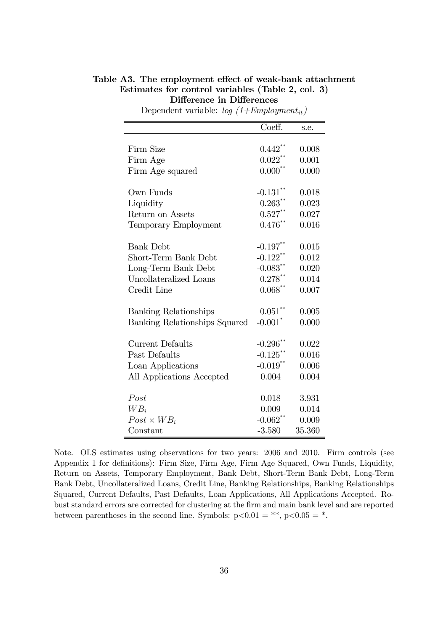#### Table A3. The employment effect of weak-bank attachment Estimates for control variables (Table 2, col. 3) Difference in Differences

|                               | $\overline{\text{Coeff.}}$ | s.e.   |
|-------------------------------|----------------------------|--------|
|                               |                            |        |
| Firm Size                     | $0.442^{\degree}$          | 0.008  |
| Firm Age                      | $0.022$ <sup>**</sup>      | 0.001  |
| Firm Age squared              | $0.000$ <sup>**</sup>      | 0.000  |
|                               |                            |        |
| Own Funds                     | $-0.131$ <sup>**</sup>     | 0.018  |
| Liquidity                     | 0.263                      | 0.023  |
| Return on Assets              | $0.527$ **                 | 0.027  |
| Temporary Employment          | $0.476***$                 | 0.016  |
|                               |                            |        |
| <b>Bank Debt</b>              | $-0.197$ <sup>**</sup>     | 0.015  |
| Short-Term Bank Debt          | $-0.122$ <sup>**</sup>     | 0.012  |
| Long-Term Bank Debt           | $-0.083$ **                | 0.020  |
| Uncollateralized Loans        | $0.278***$                 | 0.014  |
| Credit Line                   | $0.068***$                 | 0.007  |
|                               |                            |        |
| Banking Relationships         | $0.051***$                 | 0.005  |
| Banking Relationships Squared | $-0.001$ <sup>*</sup>      | 0.000  |
|                               |                            |        |
| Current Defaults              | $-0.296$ <sup>**</sup>     | 0.022  |
| Past Defaults                 | $-0.125$ **                | 0.016  |
| Loan Applications             | $-0.019***$                | 0.006  |
| All Applications Accepted     | 0.004                      | 0.004  |
|                               |                            |        |
| Post                          | 0.018                      | 3.931  |
| $WB_i$                        | 0.009                      | 0.014  |
| $Post \times WB_i$            | $-0.062$ **                | 0.009  |
| Constant                      | $-3.580$                   | 35.360 |

Dependent variable:  $log(1+Emplogment_{it})$ 

Note. OLS estimates using observations for two years: 2006 and 2010. Firm controls (see Appendix 1 for definitions): Firm Size, Firm Age, Firm Age Squared, Own Funds, Liquidity, Return on Assets, Temporary Employment, Bank Debt, Short-Term Bank Debt, Long-Term Bank Debt, Uncollateralized Loans, Credit Line, Banking Relationships, Banking Relationships Squared, Current Defaults, Past Defaults, Loan Applications, All Applications Accepted. Robust standard errors are corrected for clustering at the firm and main bank level and are reported between parentheses in the second line. Symbols:  $p<0.01 = **$ ,  $p<0.05 = *$ .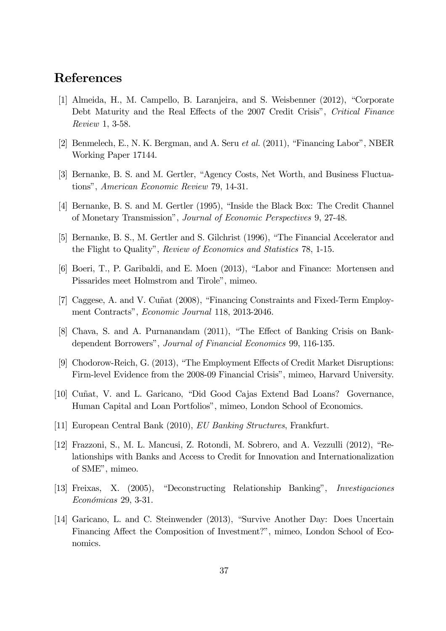### References

- [1] Almeida, H., M. Campello, B. Laranjeira, and S. Weisbenner (2012), "Corporate Debt Maturity and the Real Effects of the 2007 Credit Crisis", Critical Finance Review 1, 3-58.
- [2] Benmelech, E., N. K. Bergman, and A. Seru et al. (2011), "Financing Labor", NBER Working Paper 17144.
- [3] Bernanke, B. S. and M. Gertler, "Agency Costs, Net Worth, and Business Fluctuations", American Economic Review 79, 14-31.
- [4] Bernanke, B. S. and M. Gertler (1995), "Inside the Black Box: The Credit Channel of Monetary Transmission", Journal of Economic Perspectives 9, 27-48.
- [5] Bernanke, B. S., M. Gertler and S. Gilchrist (1996), "The Financial Accelerator and the Flight to Quality", Review of Economics and Statistics 78, 1-15.
- [6] Boeri, T., P. Garibaldi, and E. Moen (2013), "Labor and Finance: Mortensen and Pissarides meet Holmstrom and Tirole", mimeo.
- [7] Caggese, A. and V. Cuñat (2008), "Financing Constraints and Fixed-Term Employment Contracts", Economic Journal 118, 2013-2046.
- [8] Chava, S. and A. Purnanandam (2011), "The Effect of Banking Crisis on Bankdependent Borrowers", Journal of Financial Economics 99, 116-135.
- [9] Chodorow-Reich, G. (2013), "The Employment Effects of Credit Market Disruptions: Firm-level Evidence from the 2008-09 Financial Crisis", mimeo, Harvard University.
- [10] Cuñat, V. and L. Garicano, "Did Good Cajas Extend Bad Loans? Governance, Human Capital and Loan Portfolios", mimeo, London School of Economics.
- [11] European Central Bank (2010), EU Banking Structures, Frankfurt.
- [12] Frazzoni, S., M. L. Mancusi, Z. Rotondi, M. Sobrero, and A. Vezzulli (2012), "Relationships with Banks and Access to Credit for Innovation and Internationalization of SME", mimeo.
- [13] Freixas, X. (2005), "Deconstructing Relationship Banking", Investigaciones Económicas 29, 3-31.
- [14] Garicano, L. and C. Steinwender (2013), "Survive Another Day: Does Uncertain Financing Affect the Composition of Investment?", mimeo, London School of Economics.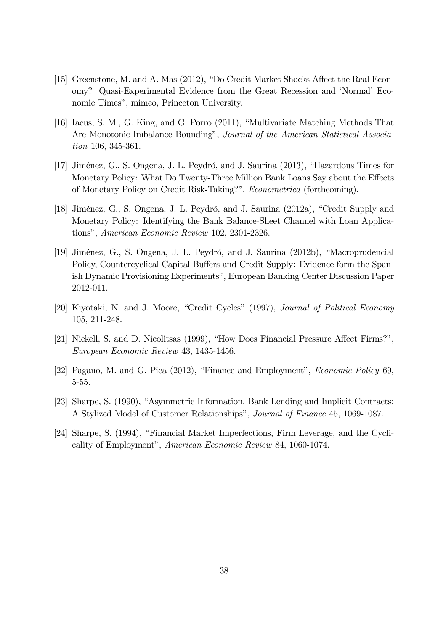- [15] Greenstone, M. and A. Mas (2012), "Do Credit Market Shocks Affect the Real Economy? Quasi-Experimental Evidence from the Great Recession and 'Normal' Economic Times", mimeo, Princeton University.
- [16] Iacus, S. M., G. King, and G. Porro (2011), "Multivariate Matching Methods That Are Monotonic Imbalance Bounding", Journal of the American Statistical Association 106, 345-361.
- [17] Jiménez, G., S. Ongena, J. L. Peydró, and J. Saurina (2013), "Hazardous Times for Monetary Policy: What Do Twenty-Three Million Bank Loans Say about the Effects of Monetary Policy on Credit Risk-Taking?", Econometrica (forthcoming).
- [18] Jiménez, G., S. Ongena, J. L. Peydró, and J. Saurina (2012a), "Credit Supply and Monetary Policy: Identifying the Bank Balance-Sheet Channel with Loan Applications", American Economic Review 102, 2301-2326.
- [19] Jiménez, G., S. Ongena, J. L. Peydró, and J. Saurina (2012b), "Macroprudencial Policy, Countercyclical Capital Buffers and Credit Supply: Evidence form the Spanish Dynamic Provisioning Experiments", European Banking Center Discussion Paper 2012-011.
- [20] Kiyotaki, N. and J. Moore, "Credit Cycles" (1997), Journal of Political Economy 105, 211-248.
- [21] Nickell, S. and D. Nicolitsas (1999), "How Does Financial Pressure Affect Firms?", European Economic Review 43, 1435-1456.
- [22] Pagano, M. and G. Pica (2012), "Finance and Employment", Economic Policy 69, 5-55.
- [23] Sharpe, S. (1990), "Asymmetric Information, Bank Lending and Implicit Contracts: A Stylized Model of Customer Relationships", Journal of Finance 45, 1069-1087.
- [24] Sharpe, S. (1994), "Financial Market Imperfections, Firm Leverage, and the Cyclicality of Employment", American Economic Review 84, 1060-1074.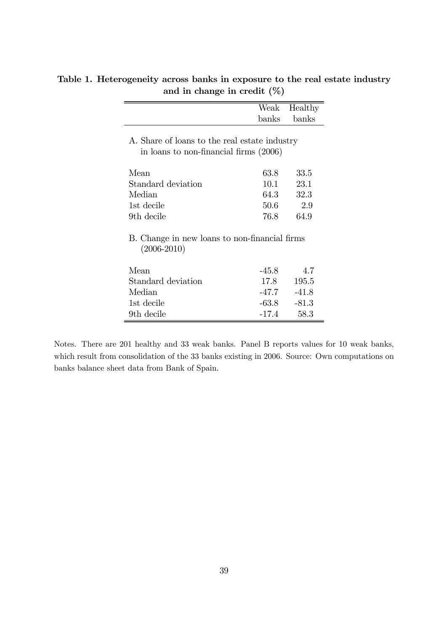|                                               | Weak    | Healthy |
|-----------------------------------------------|---------|---------|
|                                               | banks   | banks   |
|                                               |         |         |
| A. Share of loans to the real estate industry |         |         |
| in loans to non-financial firms (2006)        |         |         |
| Mean                                          | 63.8    | 33.5    |
| Standard deviation                            | 10.1    | 23.1    |
| Median                                        | 64.3    | 32.3    |
| 1st decile                                    | 50.6    | 2.9     |
| 9th decile                                    | 76.8    | 64.9    |
| B. Change in new loans to non-financial firms |         |         |
| $(2006 - 2010)$                               |         |         |
| Mean                                          | $-45.8$ | 4.7     |
| Standard deviation                            | 17.8    | 195.5   |
| Median                                        | -47.7   | $-41.8$ |
| 1st decile                                    | $-63.8$ | $-81.3$ |
|                                               | $-17.4$ |         |

Table 1. Heterogeneity across banks in exposure to the real estate industry and in change in credit (%)

Notes. There are 201 healthy and 33 weak banks. Panel B reports values for 10 weak banks, which result from consolidation of the 33 banks existing in 2006. Source: Own computations on banks balance sheet data from Bank of Spain.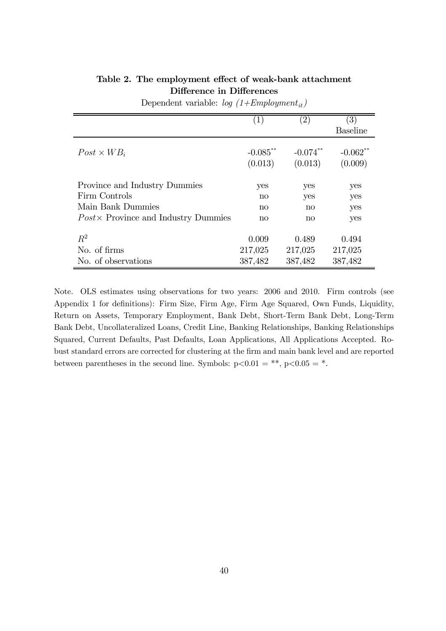|                                             | (1)                    | $\left( 2\right)$      | $\left( 3\right)$      |
|---------------------------------------------|------------------------|------------------------|------------------------|
|                                             |                        |                        | <b>Baseline</b>        |
| $Post \times WB_i$                          | $-0.085$ **<br>(0.013) | $-0.074$ **<br>(0.013) | $-0.062$ **<br>(0.009) |
| Province and Industry Dummies               | yes                    | yes                    | yes                    |
| Firm Controls                               | $\mathbf{n}$           | yes                    | yes                    |
| Main Bank Dummies                           | $\mathbf{n}$           | $\mathbf{n}$           | yes                    |
| $Post \times$ Province and Industry Dummies | $\mathbf{n}$           | $\mathbf{n}$           | yes                    |
| $R^2$                                       | 0.009                  | 0.489                  | 0.494                  |
| No. of firms                                | 217,025                | 217,025                | 217,025                |
| No. of observations                         | 387,482                | 387,482                | 387,482                |

#### Table 2. The employment effect of weak-bank attachment Difference in Differences

Dependent variable:  $log(1+Emplogment_{it})$ 

Note. OLS estimates using observations for two years: 2006 and 2010. Firm controls (see Appendix 1 for definitions): Firm Size, Firm Age, Firm Age Squared, Own Funds, Liquidity, Return on Assets, Temporary Employment, Bank Debt, Short-Term Bank Debt, Long-Term Bank Debt, Uncollateralized Loans, Credit Line, Banking Relationships, Banking Relationships Squared, Current Defaults, Past Defaults, Loan Applications, All Applications Accepted. Robust standard errors are corrected for clustering at the firm and main bank level and are reported between parentheses in the second line. Symbols:  $p<0.01 = **$ ,  $p<0.05 = *$ .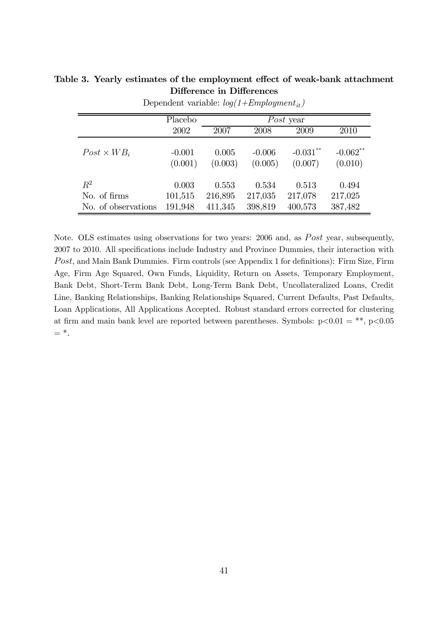|                     | Placebo             |                  |                     | Post year              |                        |
|---------------------|---------------------|------------------|---------------------|------------------------|------------------------|
|                     | 2002                | 2007             | 2008                | 2009                   | 2010                   |
| $Post \times WB_i$  | $-0.001$<br>(0.001) | 0.005<br>(0.003) | $-0.006$<br>(0.005) | $-0.031***$<br>(0.007) | $-0.062$ **<br>(0.010) |
| $R^2$               | 0.003               | 0.553            | 0.534               | 0.513                  | 0.494                  |
| No. of firms        | 101,515             | 216,895          | 217,035             | 217,078                | 217,025                |
| No. of observations | 191,948             | 411,345          | 398,819             | 400,573                | 387,482                |

Table 3. Yearly estimates of the employment effect of weak-bank attachment Difference in Differences

Dependent variable:  $log(1+Emplogment_{it})$ 

Note. OLS estimates using observations for two years: 2006 and, as *Post* year, subsequently, 2007 to 2010. All specifications include Industry and Province Dummies, their interaction with Post, and Main Bank Dummies. Firm controls (see Appendix 1 for definitions): Firm Size, Firm Age, Firm Age Squared, Own Funds, Liquidity, Return on Assets, Temporary Employment, Bank Debt, Short-Term Bank Debt, Long-Term Bank Debt, Uncollateralized Loans, Credit Line, Banking Relationships, Banking Relationships Squared, Current Defaults, Past Defaults, Loan Applications, All Applications Accepted. Robust standard errors corrected for clustering at firm and main bank level are reported between parentheses. Symbols:  $p<0.01 = **$ ,  $p<0.05$  $=$   $*$ .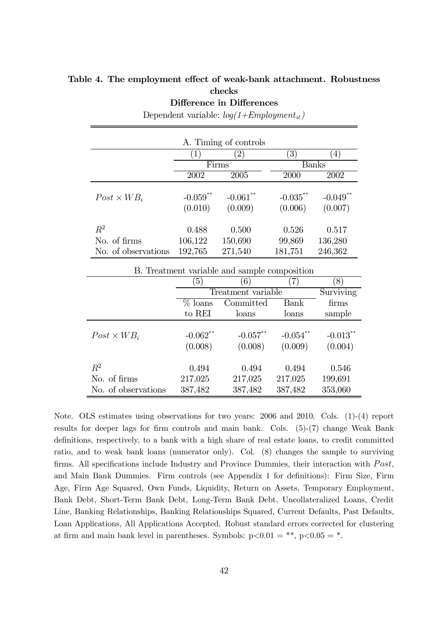#### Table 4. The employment effect of weak-bank attachment. Robustness checks

Difference in Differences

|                       |                        | A. Timing of controls  |                        |                                   |
|-----------------------|------------------------|------------------------|------------------------|-----------------------------------|
|                       | 1)                     | $\left( 2\right)$      | $\left(3\right)$       | 4)                                |
|                       |                        | Firms                  |                        | <b>Banks</b>                      |
|                       | 2002                   | 2005                   | 2000                   | 2002                              |
| $Post \times WB_i$    | $-0.059$ **<br>(0.010) | $-0.061$ **<br>(0.009) | $-0.035$ **<br>(0.006) | $-0.049$ <sup>**</sup><br>(0.007) |
| $R^2$<br>No. of firms | 0.488<br>106,122       | 0.500<br>150,690       | 0.526<br>99,869        | 0.517<br>136,280                  |
| No. of observations   | 192,765                | 271,540                | 181,751                | 246,362                           |

Dependent variable:  $log(1+Emplogment_{it})$ 

| B. Treatment variable and sample composition |                             |                             |                             |                                   |  |  |  |
|----------------------------------------------|-----------------------------|-----------------------------|-----------------------------|-----------------------------------|--|--|--|
|                                              | $\left(5\right)$            | (6)                         |                             | $\left(8\right)$                  |  |  |  |
|                                              |                             | Treatment variable          |                             | Surviving                         |  |  |  |
|                                              | $%$ loans                   | firms                       |                             |                                   |  |  |  |
|                                              | to REI                      | loans                       | loans                       | sample                            |  |  |  |
| $Post \times WB_i$                           | $-0.062$ **<br>(0.008)      | $-0.057$ **<br>(0.008)      | $-0.054$ **<br>(0.009)      | $-0.013$ <sup>**</sup><br>(0.004) |  |  |  |
| $R^2$<br>No. of firms<br>No. of observations | 0.494<br>217,025<br>387,482 | 0.494<br>217,025<br>387,482 | 0.494<br>217,025<br>387,482 | 0.546<br>199,691<br>353,060       |  |  |  |

Note. OLS estimates using observations for two years: 2006 and 2010. Cols. (1)-(4) report results for deeper lags for firm controls and main bank. Cols. (5)-(7) change Weak Bank definitions, respectively, to a bank with a high share of real estate loans, to credit committed ratio, and to weak bank loans (numerator only). Col. (8) changes the sample to surviving firms. All specifications include Industry and Province Dummies, their interaction with  $Post$ , and Main Bank Dummies. Firm controls (see Appendix 1 for definitions): Firm Size, Firm Age, Firm Age Squared, Own Funds, Liquidity, Return on Assets, Temporary Employment, Bank Debt, Short-Term Bank Debt, Long-Term Bank Debt, Uncollateralized Loans, Credit Line, Banking Relationships, Banking Relationships Squared, Current Defaults, Past Defaults, Loan Applications, All Applications Accepted. Robust standard errors corrected for clustering at firm and main bank level in parentheses. Symbols:  $p<0.01 = **$ ,  $p<0.05 = *$ .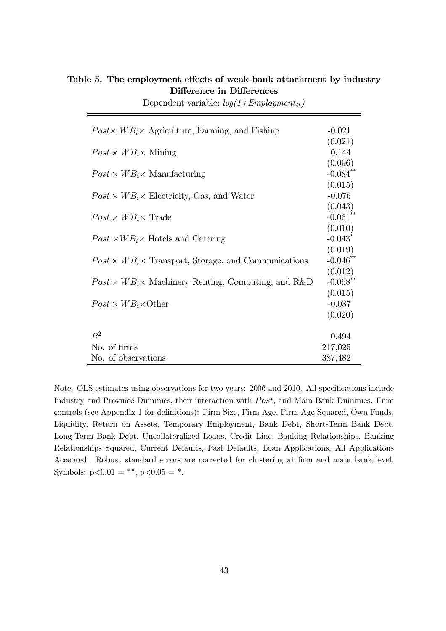| $Post \times WB_i \times$ Agriculture, Farming, and Fishing      | $-0.021$                         |
|------------------------------------------------------------------|----------------------------------|
| $Post \times WB_i \times$ Mining                                 | (0.021)<br>0.144                 |
| $Post \times WB_i \times$ Manufacturing                          | (0.096)<br>$-0.084$ **           |
| $Post \times WB_i \times$ Electricity, Gas, and Water            | (0.015)<br>$-0.076$              |
| $Post \times WB_i \times Trade$                                  | (0.043)<br>$-0.061$ **           |
|                                                                  | (0.010)<br>$-0.043$ <sup>*</sup> |
| $Post \times WB_i \times$ Hotels and Catering                    | (0.019)                          |
| $Post \times WB_i \times$ Transport, Storage, and Communications | $-0.046$ **<br>(0.012)           |
| $Post \times WB_i \times$ Machinery Renting, Computing, and R&D  | $-0.068$ **<br>(0.015)           |
| $Post \times WB_i \times Other$                                  | $-0.037$<br>(0.020)              |
| $R^2$                                                            | 0.494                            |
| No. of firms                                                     | 217,025                          |
| No. of observations                                              | 387,482                          |

Table 5. The employment effects of weak-bank attachment by industry Difference in Differences

Dependent variable:  $log(1+Emplogment_{it})$ 

Note. OLS estimates using observations for two years: 2006 and 2010. All specifications include Industry and Province Dummies, their interaction with  $Post$ , and Main Bank Dummies. Firm controls (see Appendix 1 for definitions): Firm Size, Firm Age, Firm Age Squared, Own Funds, Liquidity, Return on Assets, Temporary Employment, Bank Debt, Short-Term Bank Debt, Long-Term Bank Debt, Uncollateralized Loans, Credit Line, Banking Relationships, Banking Relationships Squared, Current Defaults, Past Defaults, Loan Applications, All Applications Accepted. Robust standard errors are corrected for clustering at firm and main bank level. Symbols:  $p<0.01 = **$ ,  $p<0.05 = *$ .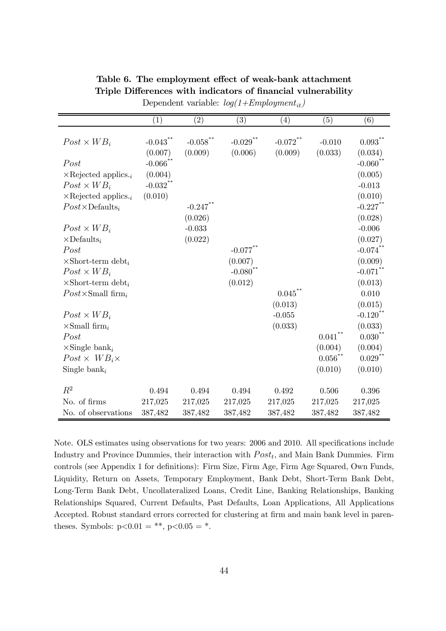|                                       | (1)         | (2)         | (3)         | (4)         | (5)               | (6)                   |
|---------------------------------------|-------------|-------------|-------------|-------------|-------------------|-----------------------|
|                                       |             |             |             |             |                   |                       |
| $Post \times WB_i$                    | $-0.043$ ** | $-0.058$ ** | $-0.029$ ** | $-0.072$ ** | $-0.010$          | 0.093                 |
|                                       | (0.007)     | (0.009)     | (0.006)     | (0.009)     | (0.033)           | (0.034)               |
| Post                                  | $-0.066$ ** |             |             |             |                   | $-0.060$              |
| $\times$ Rejected applics.            | (0.004)     |             |             |             |                   | (0.005)               |
| $Post \times WB_i$                    | $-0.032$ ** |             |             |             |                   | $-0.013$              |
| $\times$ Rejected applics.            | (0.010)     |             |             |             |                   | (0.010)               |
| $Post \times \text{Defaults}_i$       |             | $-0.247$ ** |             |             |                   | $-0.227$ **           |
|                                       |             | (0.026)     |             |             |                   | (0.028)               |
| $Post \times WB_i$                    |             | $-0.033$    |             |             |                   | $-0.006$              |
| $\times$ Defaults <sub>i</sub>        |             | (0.022)     |             |             |                   | (0.027)               |
| Post                                  |             |             | $-0.077$ ** |             |                   | $-0.074$ <sup>*</sup> |
| $\times$ Short-term debt <sub>i</sub> |             |             | (0.007)     |             |                   | (0.009)               |
| $Post \times WB_i$                    |             |             | $-0.080$ ** |             |                   | $-0.071$ **           |
| $\times$ Short-term debt <sub>i</sub> |             |             | (0.012)     |             |                   | (0.013)               |
| $Post \times Small$ firm $_i$         |             |             |             | 0.045       |                   | 0.010                 |
|                                       |             |             |             | (0.013)     |                   | (0.015)               |
| $Post \times WB_i$                    |             |             |             | $-0.055$    |                   | $-0.120$              |
| $\times$ Small firm <sub>i</sub>      |             |             |             | (0.033)     |                   | (0.033)               |
| Post                                  |             |             |             |             | $0.041^{\degree}$ | $0.030$ <sup>**</sup> |
| $\times$ Single bank <sub>i</sub>     |             |             |             |             | (0.004)           | (0.004)               |
| $Post \times WB_i \times$             |             |             |             |             | $0.056$ **        | $0.029$ **            |
| Single bank <sub>i</sub>              |             |             |             |             | (0.010)           | (0.010)               |
| $R^2$                                 |             |             |             |             |                   |                       |
|                                       | 0.494       | 0.494       | 0.494       | 0.492       | 0.506             | 0.396                 |
| No. of firms                          | 217,025     | 217,025     | 217,025     | 217,025     | 217,025           | 217,025               |
| No. of observations                   | 387,482     | 387,482     | 387,482     | 387,482     | 387,482           | 387,482               |

Table 6. The employment effect of weak-bank attachment Triple Differences with indicators of financial vulnerability Dependent variable:  $log(1+Emplogment_{it})$ 

Note. OLS estimates using observations for two years: 2006 and 2010. All specifications include Industry and Province Dummies, their interaction with  $Post<sub>t</sub>$ , and Main Bank Dummies. Firm controls (see Appendix 1 for definitions): Firm Size, Firm Age, Firm Age Squared, Own Funds, Liquidity, Return on Assets, Temporary Employment, Bank Debt, Short-Term Bank Debt, Long-Term Bank Debt, Uncollateralized Loans, Credit Line, Banking Relationships, Banking Relationships Squared, Current Defaults, Past Defaults, Loan Applications, All Applications Accepted. Robust standard errors corrected for clustering at firm and main bank level in parentheses. Symbols:  $p<0.01 = **$ ,  $p<0.05 = *$ .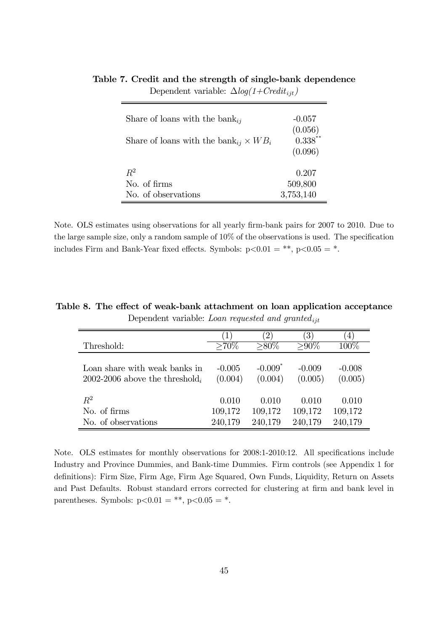| Share of loans with the bank <sub>ij</sub><br>Share of loans with the bank <sub>ij</sub> $\times WB_i$ | $-0.057$<br>(0.056)<br>$0.338***$<br>(0.096) |
|--------------------------------------------------------------------------------------------------------|----------------------------------------------|
| $R^2$                                                                                                  | 0.207                                        |
| No of firms                                                                                            | 509,800                                      |
| No. of observations                                                                                    | 3,753,140                                    |

Table 7. Credit and the strength of single-bank dependence Dependent variable:  $\Delta log(1+Credit_{ijt})$ 

Note. OLS estimates using observations for all yearly firm-bank pairs for 2007 to 2010. Due to the large sample size, only a random sample of 10% of the observations is used. The specification includes Firm and Bank-Year fixed effects. Symbols:  $p<0.01 = **$ ,  $p<0.05 = *$ .

Table 8. The effect of weak-bank attachment on loan application acceptance Dependent variable: Loan requested and granted $_{ijt}$ 

|                                | $\perp$  | $2^{\circ}$           | $\left(3\right)$ | $\left( 4\right)$ |
|--------------------------------|----------|-----------------------|------------------|-------------------|
| Threshold:                     | $>70\%$  | $>80\%$               | $> 90\%$         | 100\%             |
| Loan share with weak banks in  | $-0.005$ | $-0.009$ <sup>*</sup> | $-0.009$         | $-0.008$          |
| 2002-2006 above the threshold, | (0.004)  | (0.004)               | (0.005)          | (0.005)           |
| $R^2$                          | 0.010    | 0.010                 | 0.010            | 0.010             |
| No. of firms                   | 109,172  | 109,172               | 109,172          | 109,172           |
| No. of observations            | 240,179  | 240,179               | 240,179          | 240,179           |

Note. OLS estimates for monthly observations for 2008:1-2010:12. All specifications include Industry and Province Dummies, and Bank-time Dummies. Firm controls (see Appendix 1 for definitions): Firm Size, Firm Age, Firm Age Squared, Own Funds, Liquidity, Return on Assets and Past Defaults. Robust standard errors corrected for clustering at firm and bank level in parentheses. Symbols:  $p < 0.01 = **$ ,  $p < 0.05 = *$ .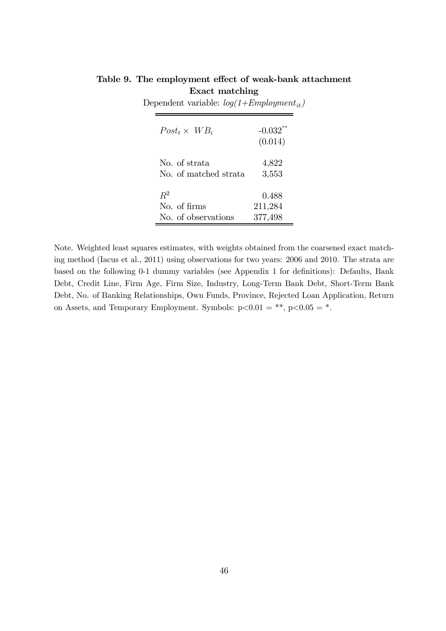| $Post_t \times WB_i$  | $-0.032$ <sup>**</sup><br>(0.014) |
|-----------------------|-----------------------------------|
| No of strata          | 4,822                             |
| No. of matched strata | 3,553                             |
| $R^2$                 | 0.488                             |
| No. of firms          | 211,284                           |
| No of observations    | 377,498                           |

Table 9. The employment effect of weak-bank attachment Exact matching

Dependent variable:  $log(1+Emplogment_{it})$ 

Note. Weighted least squares estimates, with weights obtained from the coarsened exact matching method (Iacus et al., 2011) using observations for two years: 2006 and 2010. The strata are based on the following 0-1 dummy variables (see Appendix 1 for definitions): Defaults, Bank Debt, Credit Line, Firm Age, Firm Size, Industry, Long-Term Bank Debt, Short-Term Bank Debt, No. of Banking Relationships, Own Funds, Province, Rejected Loan Application, Return on Assets, and Temporary Employment. Symbols:  $p<0.01 = **$ ,  $p<0.05 = *$ .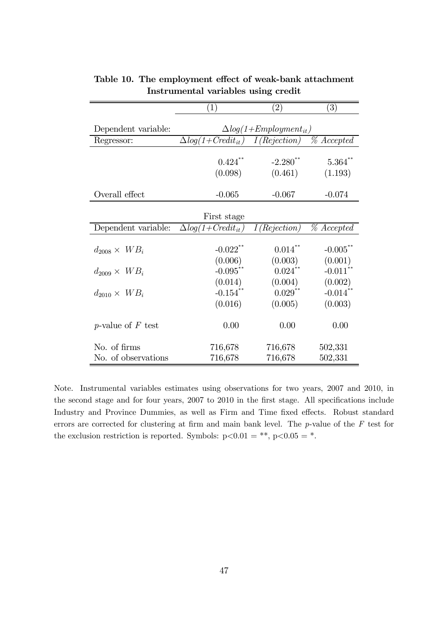|                             | $\left(1\right)$                | $\left( 2\right)$      | $\left( 3\right)$        |  |  |
|-----------------------------|---------------------------------|------------------------|--------------------------|--|--|
|                             |                                 |                        |                          |  |  |
| Dependent variable:         | $\Delta log(1+Emplogment_{it})$ |                        |                          |  |  |
| Regressor:                  | $\Delta log(1+Credit_{it})$     | I(Rejection)           | $\overline{\%}$ Accepted |  |  |
|                             |                                 |                        |                          |  |  |
|                             | $0.424$ **                      | $-2.280$ <sup>**</sup> | $5.364$ **               |  |  |
|                             | (0.098)                         | (0.461)                | (1.193)                  |  |  |
|                             |                                 |                        |                          |  |  |
| Overall effect              | $-0.065$                        | $-0.067$               | $-0.074$                 |  |  |
|                             |                                 |                        |                          |  |  |
|                             | First stage                     |                        |                          |  |  |
| Dependent variable:         | $\Delta log(1+Credit_{it})$     | I(Rejection)           | % Accepted               |  |  |
|                             |                                 |                        |                          |  |  |
| $d_{2008} \times WB_i$      | $-0.022$ **                     | $0.014***$             | $-0.005$ **              |  |  |
|                             | (0.006)                         | (0.003)                | (0.001)                  |  |  |
| $d_{2009} \times WB_i$      | $-0.095$ **                     | $0.024$ **             | $-0.011$ **              |  |  |
|                             | (0.014)                         | (0.004)                | (0.002)                  |  |  |
| $d_{2010} \times WB_i$      | $-0.154$ **                     | $0.029***$             | $-0.014$ **              |  |  |
|                             | (0.016)                         | (0.005)                | (0.003)                  |  |  |
|                             |                                 |                        |                          |  |  |
| <i>p</i> -value of $F$ test | 0.00                            | 0.00                   | 0.00                     |  |  |
|                             |                                 |                        |                          |  |  |
| No. of firms                | 716,678                         | 716,678                | 502,331                  |  |  |
| No. of observations         | 716,678                         | 716,678                | 502,331                  |  |  |

Table 10. The employment effect of weak-bank attachment Instrumental variables using credit

Note. Instrumental variables estimates using observations for two years, 2007 and 2010, in the second stage and for four years, 2007 to 2010 in the first stage. All specifications include Industry and Province Dummies, as well as Firm and Time fixed effects. Robust standard errors are corrected for clustering at firm and main bank level. The p-value of the F test for the exclusion restriction is reported. Symbols:  $p<0.01 = **$ ,  $p<0.05 = *$ .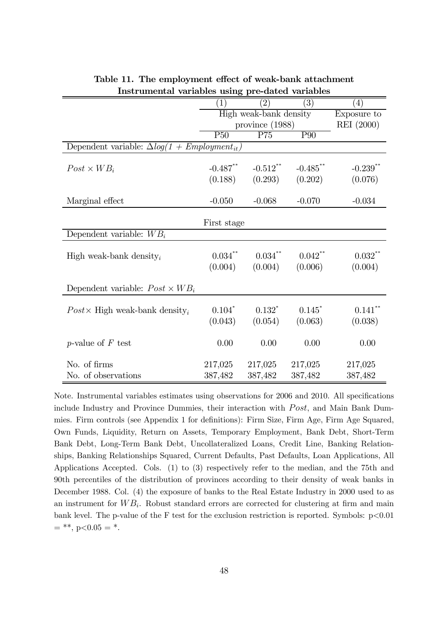|                                                       | $\left( 1\right)$      | $\left( 2\right)$ | $\left( 3\right)$ | $\left(4\right)$       |
|-------------------------------------------------------|------------------------|-------------------|-------------------|------------------------|
|                                                       | High weak-bank density |                   |                   | Exposure to            |
|                                                       | province $(1988)$      |                   |                   | REI (2000)             |
|                                                       | P50                    | $\overline{P}75$  | P <sub>90</sub>   |                        |
| Dependent variable: $\Delta log(1 + Emplogment_{it})$ |                        |                   |                   |                        |
|                                                       |                        |                   |                   |                        |
| $Post \times WB_i$                                    | $-0.487$ **            | $-0.512$ **       | $-0.485$ **       | $-0.239$ <sup>**</sup> |
|                                                       | (0.188)                | (0.293)           | (0.202)           | (0.076)                |
|                                                       |                        |                   |                   |                        |
| Marginal effect                                       | $-0.050$               | $-0.068$          | $-0.070$          | $-0.034$               |
|                                                       |                        |                   |                   |                        |
|                                                       | First stage            |                   |                   |                        |
| Dependent variable: $WB_i$                            |                        |                   |                   |                        |
|                                                       |                        |                   |                   |                        |
| High weak-bank density <sub>i</sub>                   | $0.034\sp{*}^*$        | $0.034***$        | $0.042***$        | $0.032$ **             |
|                                                       | (0.004)                | (0.004)           | (0.006)           | (0.004)                |
| Dependent variable: $Post \times WB_i$                |                        |                   |                   |                        |
|                                                       |                        |                   |                   |                        |
| $Post \times$ High weak-bank density <sub>i</sub>     | $0.104*$               | $0.132*$          | 0.145             | $0.141$ **             |
|                                                       | (0.043)                | (0.054)           | (0.063)           | (0.038)                |
|                                                       |                        |                   |                   |                        |
| <i>p</i> -value of $F$ test                           | 0.00                   | 0.00              | 0.00              | 0.00                   |
|                                                       |                        |                   |                   |                        |
| No. of firms                                          | 217,025                | 217,025           | 217,025           | 217,025                |
| No. of observations                                   | 387,482                | 387,482           | 387,482           | 387,482                |

Table 11. The employment effect of weak-bank attachment Instrumental variables using pre-dated variables

Note. Instrumental variables estimates using observations for 2006 and 2010. All specifications include Industry and Province Dummies, their interaction with  $Post$ , and Main Bank Dummies. Firm controls (see Appendix 1 for definitions): Firm Size, Firm Age, Firm Age Squared, Own Funds, Liquidity, Return on Assets, Temporary Employment, Bank Debt, Short-Term Bank Debt, Long-Term Bank Debt, Uncollateralized Loans, Credit Line, Banking Relationships, Banking Relationships Squared, Current Defaults, Past Defaults, Loan Applications, All Applications Accepted. Cols. (1) to (3) respectively refer to the median, and the 75th and 90th percentiles of the distribution of provinces according to their density of weak banks in December 1988. Col. (4) the exposure of banks to the Real Estate Industry in 2000 used to as an instrument for  $WB<sub>i</sub>$ . Robust standard errors are corrected for clustering at firm and main bank level. The p-value of the F test for the exclusion restriction is reported. Symbols:  $p<0.01$  $=$  \*\*, p<0.05 = \*.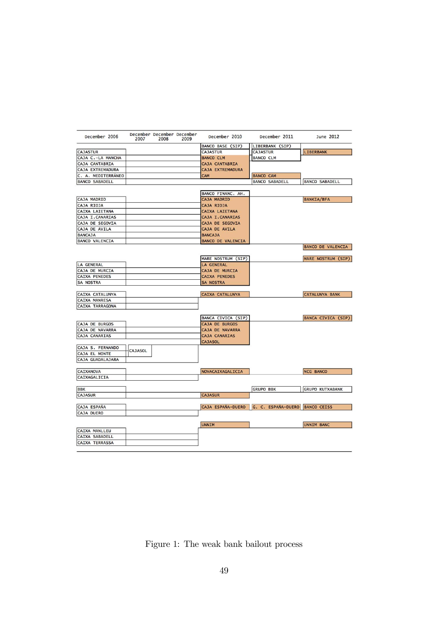| December 2006           | December December December<br>2007<br>2008 | 2009 | December 2010            | December 2011                  | June 2012                 |
|-------------------------|--------------------------------------------|------|--------------------------|--------------------------------|---------------------------|
|                         |                                            |      | <b>BANCO BASE (SIP)</b>  | LIBERBANK (SIP)                |                           |
| <b>CAJASTUR</b>         |                                            |      | <b>CAJASTUR</b>          | <b>CAJASTUR</b>                | <b>LIBERBANK</b>          |
| CAJA C.-LA MANCHA       |                                            |      | <b>BANCO CLM</b>         | <b>BANCO CLM</b>               |                           |
| CAJA CANTABRIA          |                                            |      | CAJA CANTABRIA           |                                |                           |
| <b>CAJA EXTREMADURA</b> |                                            |      | CAJA EXTREMADURA         |                                |                           |
| C. A. MEDITERRÁNEO      |                                            |      | CAM                      | <b>BANCO CAM</b>               |                           |
| <b>BANCO SABADELL</b>   |                                            |      |                          | <b>BANCO SABADELL</b>          | <b>BANCO SABADELL</b>     |
|                         |                                            |      |                          |                                |                           |
|                         |                                            |      | BANCO FINANC. AH.        |                                |                           |
| <b>CAJA MADRID</b>      |                                            |      | CAJA MADRID              |                                | <b>BANKIA/BFA</b>         |
| CAJA RIOJA              |                                            |      | CAJA RIOJA               |                                |                           |
| CAIXA LAIETANA          |                                            |      | CAIXA LAIETANA           |                                |                           |
| CAJA I.CANARIAS         |                                            |      | CAJA I. CANARIAS         |                                |                           |
| <b>CAJA DE SEGOVIA</b>  |                                            |      | CAJA DE SEGOVIA          |                                |                           |
| CAJA DE AVILA           |                                            |      | CAJA DE AVILA            |                                |                           |
| <b>BANCAJA</b>          |                                            |      | <b>BANCAJA</b>           |                                |                           |
| <b>BANCO VALENCIA</b>   |                                            |      | <b>BANCO DE VALENCIA</b> |                                |                           |
|                         |                                            |      |                          |                                | <b>BANCO DE VALENCIA</b>  |
|                         |                                            |      |                          |                                |                           |
|                         |                                            |      | MARE NOSTRUM (SIP)       |                                | MARE NOSTRUM (SIP)        |
| <b>LA GENERAL</b>       |                                            |      | <b>LA GENERAL</b>        |                                |                           |
| CAJA DE MURCIA          |                                            |      | CAJA DE MURCIA           |                                |                           |
| <b>CAIXA PENEDES</b>    |                                            |      | <b>CAIXA PENEDES</b>     |                                |                           |
| <b>SA NOSTRA</b>        |                                            |      | <b>SA NOSTRA</b>         |                                |                           |
|                         |                                            |      |                          |                                |                           |
| CAIXA CATALUNYA         |                                            |      | <b>CAIXA CATALUNYA</b>   |                                | <b>CATALUNYA BANK</b>     |
| <b>CAIXA MANRESA</b>    |                                            |      |                          |                                |                           |
| <b>CAIXA TARRAGONA</b>  |                                            |      |                          |                                |                           |
|                         |                                            |      |                          |                                |                           |
|                         |                                            |      | BANCA CIVICA (SIP)       |                                | <b>BANCA CIVICA (SIP)</b> |
| <b>CAJA DE BURGOS</b>   |                                            |      | CAJA DE BURGOS           |                                |                           |
| CAJA DE NAVARRA         |                                            |      | CAJA DE NAVARRA          |                                |                           |
| <b>CAJA CANARIAS</b>    |                                            |      | <b>CAJA CANARIAS</b>     |                                |                           |
|                         |                                            |      | <b>CAJASOL</b>           |                                |                           |
| CAJA S. FERNANDO        | CAJASOL                                    |      |                          |                                |                           |
| CAJA EL MONTE           |                                            |      |                          |                                |                           |
| CAJA GUADALAJARA        |                                            |      |                          |                                |                           |
|                         |                                            |      |                          |                                |                           |
| <b>CAIXANOVA</b>        |                                            |      | NOVACAIXAGALICIA         |                                | <b>NCG BANCO</b>          |
| CAIXAGALICIA            |                                            |      |                          |                                |                           |
|                         |                                            |      |                          |                                |                           |
| <b>BBK</b>              |                                            |      |                          | <b>GRUPO BBK</b>               | <b>GRUPO KUTXABANK</b>    |
| <b>CAJASUR</b>          |                                            |      | <b>CAJASUR</b>           |                                |                           |
|                         |                                            |      |                          |                                |                           |
| <b>CAJA ESPANA</b>      |                                            |      | CAJA ESPAÑA-DUERO        | G. C. ESPAÑA-DUERO BANCO CEISS |                           |
| <b>CAJA DUERO</b>       |                                            |      |                          |                                |                           |
|                         |                                            |      |                          |                                |                           |
|                         |                                            |      | <b>UNNIM</b>             |                                | <b>UNNIM BANC</b>         |
| <b>CAIXA MANLLEU</b>    |                                            |      |                          |                                |                           |
| CAIXA SABADELL          |                                            |      |                          |                                |                           |
| <b>CAIXA TERRASSA</b>   |                                            |      |                          |                                |                           |

Figure 1: The weak bank bailout process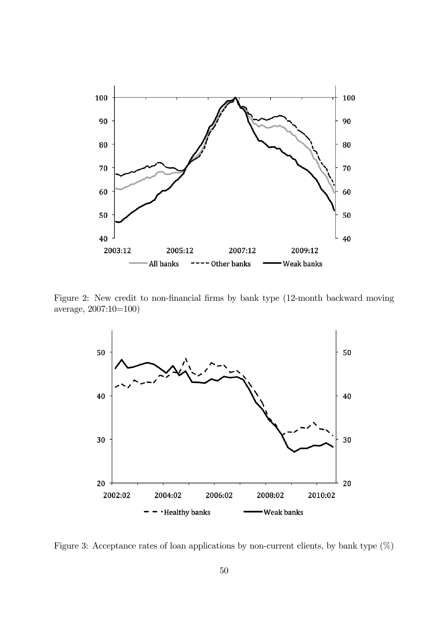

Figure 2: New credit to non-financial firms by bank type (12-month backward moving average, 2007:10=100)



Figure 3: Acceptance rates of loan applications by non-current clients, by bank type  $(\%)$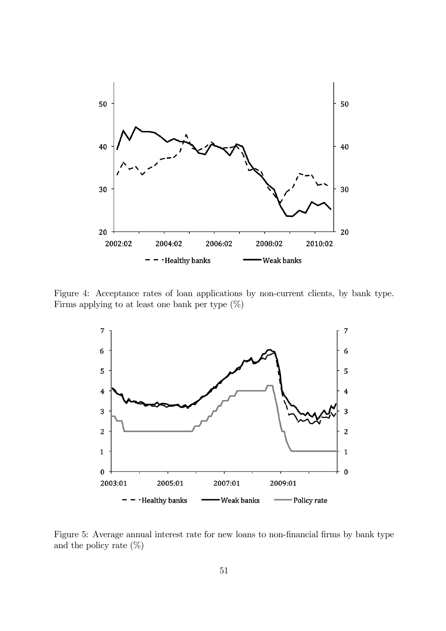

Figure 4: Acceptance rates of loan applications by non-current clients, by bank type. Firms applying to at least one bank per type (%)



Figure 5: Average annual interest rate for new loans to non-financial firms by bank type and the policy rate  $(\%)$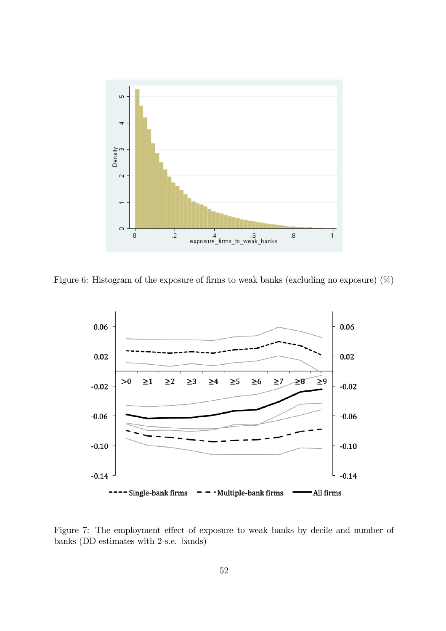

Figure 6: Histogram of the exposure of firms to weak banks (excluding no exposure) (%)

![](_page_52_Figure_2.jpeg)

Figure 7: The employment effect of exposure to weak banks by decile and number of banks (DD estimates with 2-s.e. bands)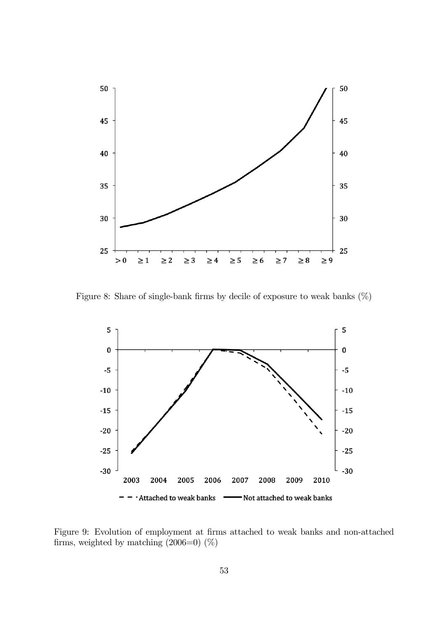![](_page_53_Figure_0.jpeg)

Figure 8: Share of single-bank firms by decile of exposure to weak banks  $(\%)$ 

![](_page_53_Figure_2.jpeg)

Figure 9: Evolution of employment at firms attached to weak banks and non-attached firms, weighted by matching  $(2006=0)$   $(\%)$